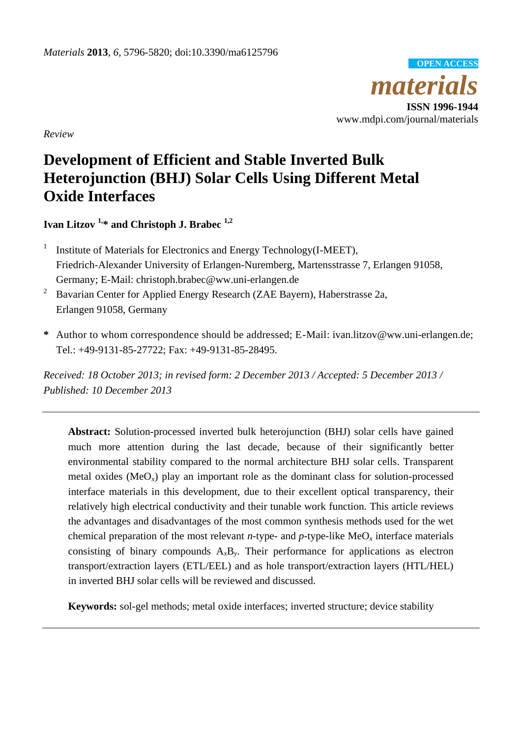*materials* **ISSN 1996-1944** www.mdpi.com/journal/materials **OPEN ACCESS**

*Review*

# **Development of Efficient and Stable Inverted Bulk Heterojunction (BHJ) Solar Cells Using Different Metal Oxide Interfaces**

**Ivan Litzov 1,\* and Christoph J. Brabec 1,2**

- 1 Institute of Materials for Electronics and Energy Technology(I-MEET), Friedrich-Alexander University of Erlangen-Nuremberg, Martensstrasse 7, Erlangen 91058, Germany; E-Mail: christoph.brabec@ww.uni-erlangen.de
- <sup>2</sup> Bavarian Center for Applied Energy Research (ZAE Bayern), Haberstrasse 2a, Erlangen 91058, Germany
- **\*** Author to whom correspondence should be addressed; E-Mail: ivan.litzov@ww.uni-erlangen.de; Tel.: +49-9131-85-27722; Fax: +49-9131-85-28495.

*Received: 18 October 2013; in revised form: 2 December 2013 / Accepted: 5 December 2013 / Published: 10 December 2013*

**Abstract:** Solution-processed inverted bulk heterojunction (BHJ) solar cells have gained much more attention during the last decade, because of their significantly better environmental stability compared to the normal architecture BHJ solar cells. Transparent metal oxides (MeO*x*) play an important role as the dominant class for solution-processed interface materials in this development, due to their excellent optical transparency, their relatively high electrical conductivity and their tunable work function. This article reviews the advantages and disadvantages of the most common synthesis methods used for the wet chemical preparation of the most relevant *n*-type- and *p*-type-like MeO<sub>x</sub> interface materials consisting of binary compounds  $A_xB_y$ . Their performance for applications as electron transport/extraction layers (ETL/EEL) and as hole transport/extraction layers (HTL/HEL) in inverted BHJ solar cells will be reviewed and discussed.

**Keywords:** sol-gel methods; metal oxide interfaces; inverted structure; device stability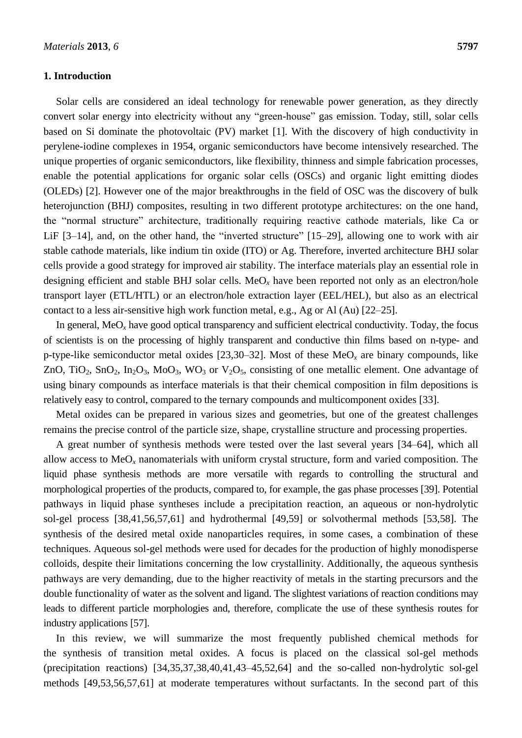# **1. Introduction**

Solar cells are considered an ideal technology for renewable power generation, as they directly convert solar energy into electricity without any "green-house" gas emission. Today, still, solar cells based on Si dominate the photovoltaic (PV) market [1]. With the discovery of high conductivity in perylene-iodine complexes in 1954, organic semiconductors have become intensively researched. The unique properties of organic semiconductors, like flexibility, thinness and simple fabrication processes, enable the potential applications for organic solar cells (OSCs) and organic light emitting diodes (OLEDs) [2]. However one of the major breakthroughs in the field of OSC was the discovery of bulk heterojunction (BHJ) composites, resulting in two different prototype architectures: on the one hand, the "normal structure" architecture, traditionally requiring reactive cathode materials, like Ca or LiF [3–14], and, on the other hand, the "inverted structure" [15–29], allowing one to work with air stable cathode materials, like indium tin oxide (ITO) or Ag. Therefore, inverted architecture BHJ solar cells provide a good strategy for improved air stability. The interface materials play an essential role in designing efficient and stable BHJ solar cells. MeO*<sup>x</sup>* have been reported not only as an electron/hole transport layer (ETL/HTL) or an electron/hole extraction layer (EEL/HEL), but also as an electrical contact to a less air-sensitive high work function metal, e.g., Ag or Al (Au) [22–25].

In general,  $\text{MeO}_x$  have good optical transparency and sufficient electrical conductivity. Today, the focus of scientists is on the processing of highly transparent and conductive thin films based on n-type- and p-type-like semiconductor metal oxides [23,30–32]. Most of these MeO*<sup>x</sup>* are binary compounds, like ZnO, TiO<sub>2</sub>, SnO<sub>2</sub>, In<sub>2</sub>O<sub>3</sub>, MoO<sub>3</sub>, WO<sub>3</sub> or V<sub>2</sub>O<sub>5</sub>, consisting of one metallic element. One advantage of using binary compounds as interface materials is that their chemical composition in film depositions is relatively easy to control, compared to the ternary compounds and multicomponent oxides [33].

Metal oxides can be prepared in various sizes and geometries, but one of the greatest challenges remains the precise control of the particle size, shape, crystalline structure and processing properties.

A great number of synthesis methods were tested over the last several years [34–64], which all allow access to MeO*<sup>x</sup>* nanomaterials with uniform crystal structure, form and varied composition. The liquid phase synthesis methods are more versatile with regards to controlling the structural and morphological properties of the products, compared to, for example, the gas phase processes [39]. Potential pathways in liquid phase syntheses include a precipitation reaction, an aqueous or non-hydrolytic sol-gel process [38,41,56,57,61] and hydrothermal [49,59] or solvothermal methods [53,58]. The synthesis of the desired metal oxide nanoparticles requires, in some cases, a combination of these techniques. Aqueous sol-gel methods were used for decades for the production of highly monodisperse colloids, despite their limitations concerning the low crystallinity. Additionally, the aqueous synthesis pathways are very demanding, due to the higher reactivity of metals in the starting precursors and the double functionality of water as the solvent and ligand. The slightest variations of reaction conditions may leads to different particle morphologies and, therefore, complicate the use of these synthesis routes for industry applications [57].

In this review, we will summarize the most frequently published chemical methods for the synthesis of transition metal oxides. A focus is placed on the classical sol-gel methods (precipitation reactions) [34,35,37,38,40,41,43–45,52,64] and the so-called non-hydrolytic sol-gel methods [49,53,56,57,61] at moderate temperatures without surfactants. In the second part of this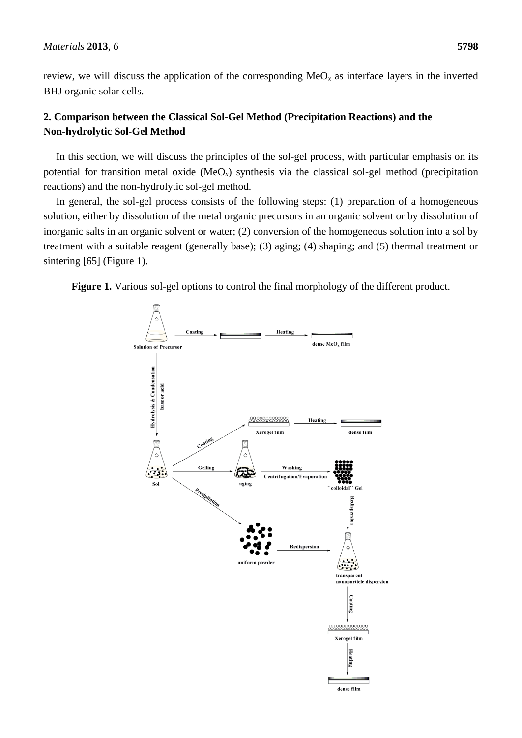review, we will discuss the application of the corresponding MeO*<sup>x</sup>* as interface layers in the inverted BHJ organic solar cells.

# **2. Comparison between the Classical Sol-Gel Method (Precipitation Reactions) and the Non-hydrolytic Sol-Gel Method**

In this section, we will discuss the principles of the sol-gel process, with particular emphasis on its potential for transition metal oxide (MeO*x*) synthesis via the classical sol-gel method (precipitation reactions) and the non-hydrolytic sol-gel method.

In general, the sol-gel process consists of the following steps: (1) preparation of a homogeneous solution, either by dissolution of the metal organic precursors in an organic solvent or by dissolution of inorganic salts in an organic solvent or water; (2) conversion of the homogeneous solution into a sol by treatment with a suitable reagent (generally base); (3) aging; (4) shaping; and (5) thermal treatment or sintering [65] (Figure 1).

**Figure 1.** Various sol-gel options to control the final morphology of the different product.

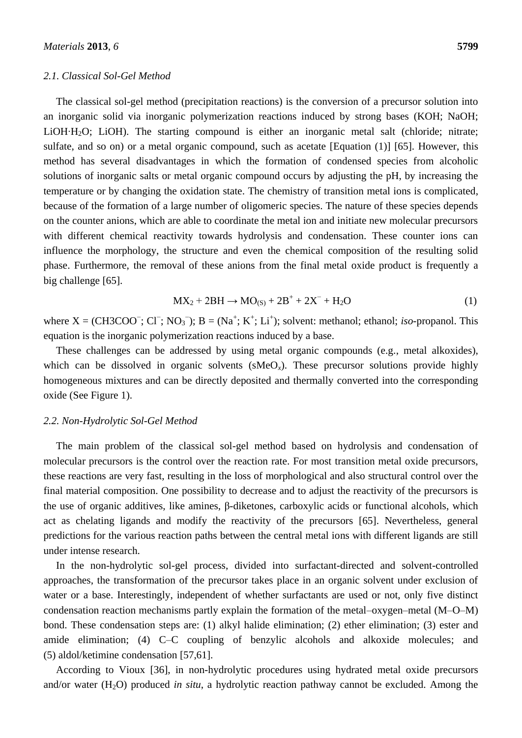#### *2.1. Classical Sol-Gel Method*

The classical sol-gel method (precipitation reactions) is the conversion of a precursor solution into an inorganic solid via inorganic polymerization reactions induced by strong bases (KOH; NaOH; LiOH∙H2O; LiOH). The starting compound is either an inorganic metal salt (chloride; nitrate; sulfate, and so on) or a metal organic compound, such as acetate [Equation (1)] [65]. However, this method has several disadvantages in which the formation of condensed species from alcoholic solutions of inorganic salts or metal organic compound occurs by adjusting the pH, by increasing the temperature or by changing the oxidation state. The chemistry of transition metal ions is complicated, because of the formation of a large number of oligomeric species. The nature of these species depends on the counter anions, which are able to coordinate the metal ion and initiate new molecular precursors with different chemical reactivity towards hydrolysis and condensation. These counter ions can influence the morphology, the structure and even the chemical composition of the resulting solid phase. Furthermore, the removal of these anions from the final metal oxide product is frequently a big challenge [65].

$$
MX_2 + 2BH \rightarrow MO_{(S)} + 2B^+ + 2X^- + H_2O
$$
 (1)

where  $X = (CH3COO^-; Cl^-; NO<sub>3</sub>); B = (Na<sup>+</sup>; K<sup>+</sup>; Li<sup>+</sup>);$  solvent: methanol; *ethanol*; *iso*-propanol. This equation is the inorganic polymerization reactions induced by a base.

These challenges can be addressed by using metal organic compounds (e.g., metal alkoxides), which can be dissolved in organic solvents ( $sMeO<sub>x</sub>$ ). These precursor solutions provide highly homogeneous mixtures and can be directly deposited and thermally converted into the corresponding oxide (See Figure 1).

### *2.2. Non-Hydrolytic Sol-Gel Method*

The main problem of the classical sol-gel method based on hydrolysis and condensation of molecular precursors is the control over the reaction rate. For most transition metal oxide precursors, these reactions are very fast, resulting in the loss of morphological and also structural control over the final material composition. One possibility to decrease and to adjust the reactivity of the precursors is the use of organic additives, like amines, β-diketones, carboxylic acids or functional alcohols, which act as chelating ligands and modify the reactivity of the precursors [65]. Nevertheless, general predictions for the various reaction paths between the central metal ions with different ligands are still under intense research.

In the non-hydrolytic sol-gel process, divided into surfactant-directed and solvent-controlled approaches, the transformation of the precursor takes place in an organic solvent under exclusion of water or a base. Interestingly, independent of whether surfactants are used or not, only five distinct condensation reaction mechanisms partly explain the formation of the metal–oxygen–metal (M–O–M) bond. These condensation steps are: (1) alkyl halide elimination; (2) ether elimination; (3) ester and amide elimination; (4) C–C coupling of benzylic alcohols and alkoxide molecules; and (5) aldol/ketimine condensation [57,61].

According to Vioux [36], in non-hydrolytic procedures using hydrated metal oxide precursors and/or water (H<sub>2</sub>O) produced *in situ*, a hydrolytic reaction pathway cannot be excluded. Among the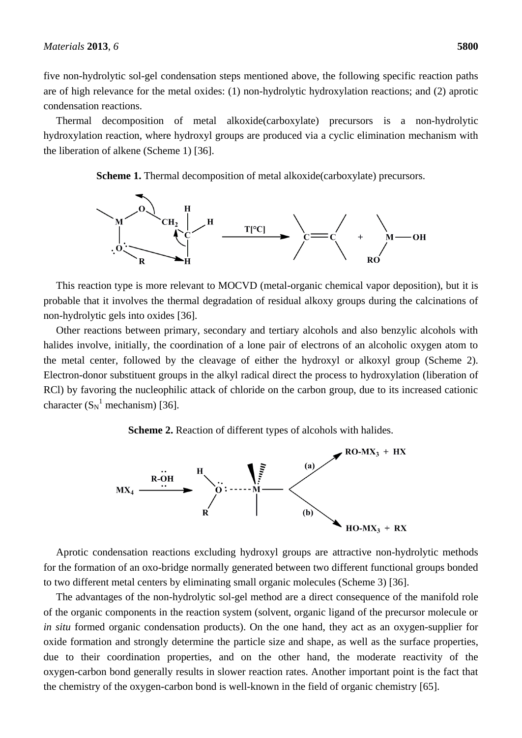five non-hydrolytic sol-gel condensation steps mentioned above, the following specific reaction paths are of high relevance for the metal oxides: (1) non-hydrolytic hydroxylation reactions; and (2) aprotic condensation reactions.

Thermal decomposition of metal alkoxide(carboxylate) precursors is a non-hydrolytic hydroxylation reaction, where hydroxyl groups are produced via a cyclic elimination mechanism with the liberation of alkene (Scheme 1) [36].

**Scheme 1.** Thermal decomposition of metal alkoxide(carboxylate) precursors.



This reaction type is more relevant to MOCVD (metal-organic chemical vapor deposition), but it is probable that it involves the thermal degradation of residual alkoxy groups during the calcinations of non-hydrolytic gels into oxides [36].

Other reactions between primary, secondary and tertiary alcohols and also benzylic alcohols with halides involve, initially, the coordination of a lone pair of electrons of an alcoholic oxygen atom to the metal center, followed by the cleavage of either the hydroxyl or alkoxyl group (Scheme 2). Electron-donor substituent groups in the alkyl radical direct the process to hydroxylation (liberation of RCl) by favoring the nucleophilic attack of chloride on the carbon group, due to its increased cationic character  $(S_N^{-1}$  mechanism) [36].

**Scheme 2.** Reaction of different types of alcohols with halides.



Aprotic condensation reactions excluding hydroxyl groups are attractive non-hydrolytic methods for the formation of an oxo-bridge normally generated between two different functional groups bonded to two different metal centers by eliminating small organic molecules (Scheme 3) [36].

The advantages of the non-hydrolytic sol-gel method are a direct consequence of the manifold role of the organic components in the reaction system (solvent, organic ligand of the precursor molecule or *in situ* formed organic condensation products). On the one hand, they act as an oxygen-supplier for oxide formation and strongly determine the particle size and shape, as well as the surface properties, due to their coordination properties, and on the other hand, the moderate reactivity of the oxygen-carbon bond generally results in slower reaction rates. Another important point is the fact that the chemistry of the oxygen-carbon bond is well-known in the field of organic chemistry [65].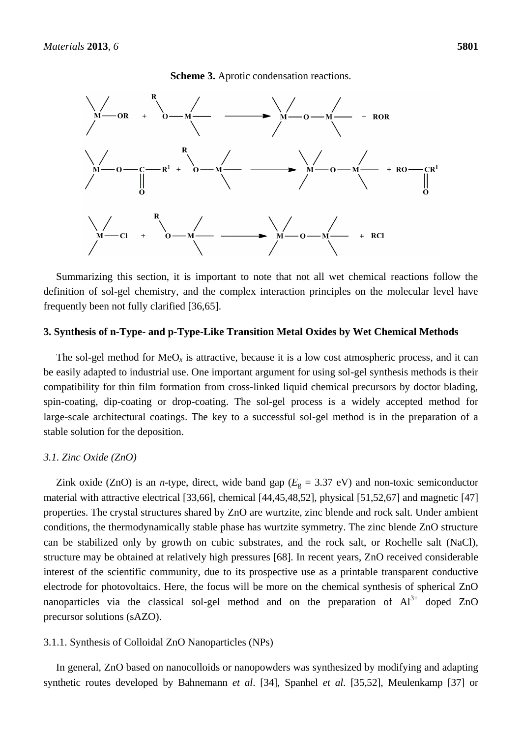#### **Scheme 3.** Aprotic condensation reactions.



Summarizing this section, it is important to note that not all wet chemical reactions follow the definition of sol-gel chemistry, and the complex interaction principles on the molecular level have frequently been not fully clarified [36,65].

### **3. Synthesis of n-Type- and p-Type-Like Transition Metal Oxides by Wet Chemical Methods**

The sol-gel method for  $MeO<sub>x</sub>$  is attractive, because it is a low cost atmospheric process, and it can be easily adapted to industrial use. One important argument for using sol-gel synthesis methods is their compatibility for thin film formation from cross-linked liquid chemical precursors by doctor blading, spin-coating, dip-coating or drop-coating. The sol-gel process is a widely accepted method for large-scale architectural coatings. The key to a successful sol-gel method is in the preparation of a stable solution for the deposition.

#### *3.1. Zinc Oxide (ZnO)*

Zink oxide (ZnO) is an *n*-type, direct, wide band gap ( $E<sub>g</sub> = 3.37$  eV) and non-toxic semiconductor material with attractive electrical [33,66], chemical [44,45,48,52], physical [51,52,67] and magnetic [47] properties. The crystal structures shared by ZnO are wurtzite, zinc blende and rock salt. Under ambient conditions, the thermodynamically stable phase has wurtzite symmetry. The zinc blende ZnO structure can be stabilized only by growth on cubic substrates, and the rock salt, or Rochelle salt (NaCl), structure may be obtained at relatively high pressures [68]. In recent years, ZnO received considerable interest of the scientific community, due to its prospective use as a printable transparent conductive electrode for photovoltaics. Here, the focus will be more on the chemical synthesis of spherical ZnO nanoparticles via the classical sol-gel method and on the preparation of  $Al^{3+}$  doped ZnO precursor solutions (sAZO).

#### 3.1.1. Synthesis of Colloidal ZnO Nanoparticles (NPs)

In general, ZnO based on nanocolloids or nanopowders was synthesized by modifying and adapting synthetic routes developed by Bahnemann *et al*. [34], Spanhel *et al*. [35,52], Meulenkamp [37] or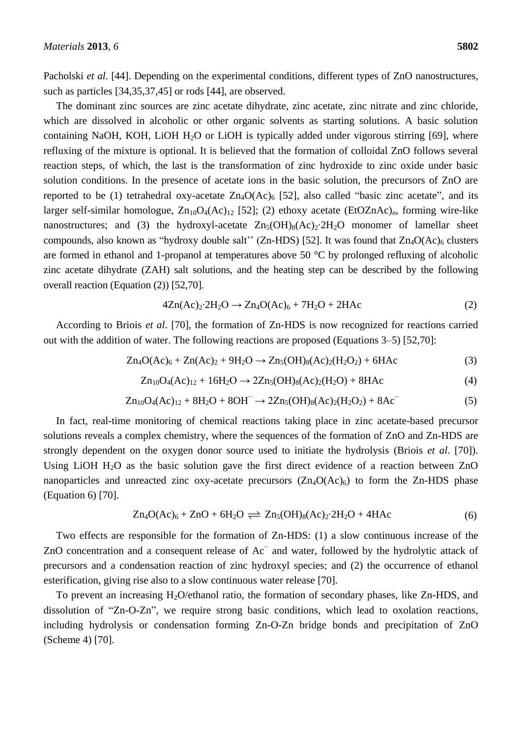Pacholski *et al*. [44]. Depending on the experimental conditions, different types of ZnO nanostructures, such as particles [34,35,37,45] or rods [44], are observed.

The dominant zinc sources are zinc acetate dihydrate, zinc acetate, zinc nitrate and zinc chloride, which are dissolved in alcoholic or other organic solvents as starting solutions. A basic solution containing NaOH, KOH, LiOH  $H_2O$  or LiOH is typically added under vigorous stirring [69], where refluxing of the mixture is optional. It is believed that the formation of colloidal ZnO follows several reaction steps, of which, the last is the transformation of zinc hydroxide to zinc oxide under basic solution conditions. In the presence of acetate ions in the basic solution, the precursors of ZnO are reported to be (1) tetrahedral oxy-acetate  $Zn_4O(Ac)_6$  [52], also called "basic zinc acetate", and its larger self-similar homologue, Zn<sub>10</sub>O<sub>4</sub>(Ac)<sub>12</sub> [52]; (2) ethoxy acetate (EtOZnAc)<sub>n</sub>, forming wire-like nanostructures; and (3) the hydroxyl-acetate  $Zn_5(OH)_8(Ac)_2·2H_2O$  monomer of lamellar sheet compounds, also known as "hydroxy double salt" (Zn-HDS) [52]. It was found that  $Zn_4O(Ac)$ <sub>6</sub> clusters are formed in ethanol and 1-propanol at temperatures above 50  $\degree$ C by prolonged refluxing of alcoholic zinc acetate dihydrate (ZAH) salt solutions, and the heating step can be described by the following overall reaction (Equation (2)) [52,70].

$$
4Zn(Ac)_2.2H_2O \rightarrow Zn_4O(Ac)_6 + 7H_2O + 2HAc
$$
\n<sup>(2)</sup>

According to Briois *et al*. [70], the formation of Zn-HDS is now recognized for reactions carried out with the addition of water. The following reactions are proposed (Equations 3–5) [52,70]:

$$
Zn_4O(Ac)_6 + Zn(Ac)_2 + 9H_2O \to Zn_5(OH)_8(Ac)_2(H_2O_2) + 6HAc
$$
 (3)

$$
Zn_{10}O_4(Ac)_{12} + 16H_2O \rightarrow 2Zn_5(OH)_8(Ac)_2(H_2O) + 8HAc
$$
 (4)

$$
Zn_{10}O_4(Ac)_{12} + 8H_2O + 8OH^- \rightarrow 2Zn_5(OH)_8(Ac)_2(H_2O_2) + 8Ac^-
$$
 (5)

In fact, real-time monitoring of chemical reactions taking place in zinc acetate-based precursor solutions reveals a complex chemistry, where the sequences of the formation of ZnO and Zn-HDS are strongly dependent on the oxygen donor source used to initiate the hydrolysis (Briois *et al*. [70]). Using LiOH H<sub>2</sub>O as the basic solution gave the first direct evidence of a reaction between ZnO nanoparticles and unreacted zinc oxy-acetate precursors  $(Zn_4O(Ac)_6)$  to form the Zn-HDS phase (Equation 6) [70].

$$
Zn_4O(Ac)_6 + ZnO + 6H_2O \rightleftharpoons Zn_5(OH)_8(Ac)_2 \cdot 2H_2O + 4HAc \tag{6}
$$

Two effects are responsible for the formation of Zn-HDS: (1) a slow continuous increase of the ZnO concentration and a consequent release of Ac<sup>−</sup> and water, followed by the hydrolytic attack of precursors and a condensation reaction of zinc hydroxyl species; and (2) the occurrence of ethanol esterification, giving rise also to a slow continuous water release [70].

To prevent an increasing  $H_2O/e$ thanol ratio, the formation of secondary phases, like Zn-HDS, and dissolution of "Zn-O-Zn", we require strong basic conditions, which lead to oxolation reactions, including hydrolysis or condensation forming Zn-O-Zn bridge bonds and precipitation of ZnO (Scheme 4) [70].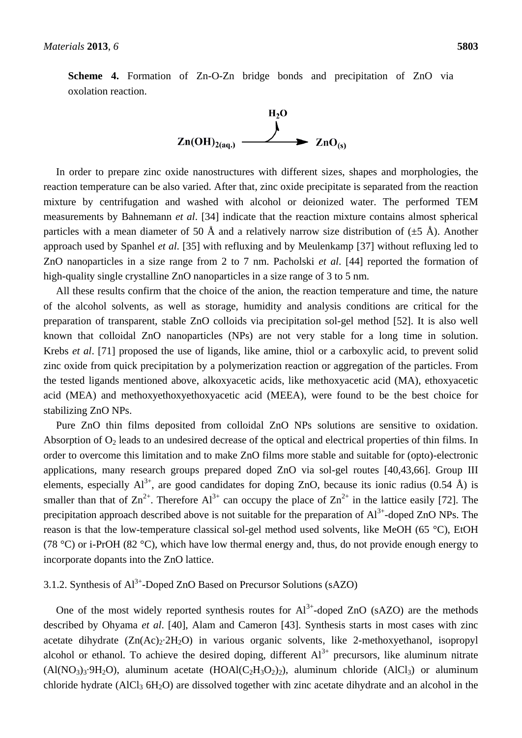**Scheme 4.** Formation of Zn-O-Zn bridge bonds and precipitation of ZnO via oxolation reaction.



In order to prepare zinc oxide nanostructures with different sizes, shapes and morphologies, the reaction temperature can be also varied. After that, zinc oxide precipitate is separated from the reaction mixture by centrifugation and washed with alcohol or deionized water. The performed TEM measurements by Bahnemann *et al*. [34] indicate that the reaction mixture contains almost spherical particles with a mean diameter of 50 Å and a relatively narrow size distribution of  $(\pm 5 \text{ Å})$ . Another approach used by Spanhel *et al*. [35] with refluxing and by Meulenkamp [37] without refluxing led to ZnO nanoparticles in a size range from 2 to 7 nm. Pacholski *et al*. [44] reported the formation of high-quality single crystalline ZnO nanoparticles in a size range of 3 to 5 nm.

All these results confirm that the choice of the anion, the reaction temperature and time, the nature of the alcohol solvents, as well as storage, humidity and analysis conditions are critical for the preparation of transparent, stable ZnO colloids via precipitation sol-gel method [52]. It is also well known that colloidal ZnO nanoparticles (NPs) are not very stable for a long time in solution. Krebs *et al*. [71] proposed the use of ligands, like amine, thiol or a carboxylic acid, to prevent solid zinc oxide from quick precipitation by a polymerization reaction or aggregation of the particles. From the tested ligands mentioned above, alkoxyacetic acids, like methoxyacetic acid (MA), ethoxyacetic acid (MEA) and methoxyethoxyethoxyacetic acid (MEEA), were found to be the best choice for stabilizing ZnO NPs.

Pure ZnO thin films deposited from colloidal ZnO NPs solutions are sensitive to oxidation. Absorption of  $O_2$  leads to an undesired decrease of the optical and electrical properties of thin films. In order to overcome this limitation and to make ZnO films more stable and suitable for (opto)-electronic applications, many research groups prepared doped ZnO via sol-gel routes [40,43,66]. Group III elements, especially  $Al^{3+}$ , are good candidates for doping ZnO, because its ionic radius (0.54 Å) is smaller than that of  $\text{Zn}^{2+}$ . Therefore  $\text{Al}^{3+}$  can occupy the place of  $\text{Zn}^{2+}$  in the lattice easily [72]. The precipitation approach described above is not suitable for the preparation of  $Al^{3+}$ -doped ZnO NPs. The reason is that the low-temperature classical sol-gel method used solvents, like MeOH (65 °C), EtOH (78 °C) or i-PrOH (82 °C), which have low thermal energy and, thus, do not provide enough energy to incorporate dopants into the ZnO lattice.

# 3.1.2. Synthesis of Al<sup>3+</sup>-Doped ZnO Based on Precursor Solutions (sAZO)

One of the most widely reported synthesis routes for  $Al^{3+}$ -doped ZnO (sAZO) are the methods described by Ohyama *et al*. [40], Alam and Cameron [43]. Synthesis starts in most cases with zinc acetate dihydrate (Zn(Ac)<sub>2</sub>⋅2H<sub>2</sub>O) in various organic solvents, like 2-methoxyethanol, isopropyl alcohol or ethanol. To achieve the desired doping, different  $Al^{3+}$  precursors, like aluminum nitrate  $(AI(NO<sub>3</sub>)<sub>3</sub>·9H<sub>2</sub>O)$ , aluminum acetate  $(HOAI(C<sub>2</sub>H<sub>3</sub>O<sub>2</sub>)<sub>2</sub>)$ , aluminum chloride  $(AIC<sub>3</sub>)$  or aluminum chloride hydrate (AlCl<sub>3</sub>  $6H_2O$ ) are dissolved together with zinc acetate dihydrate and an alcohol in the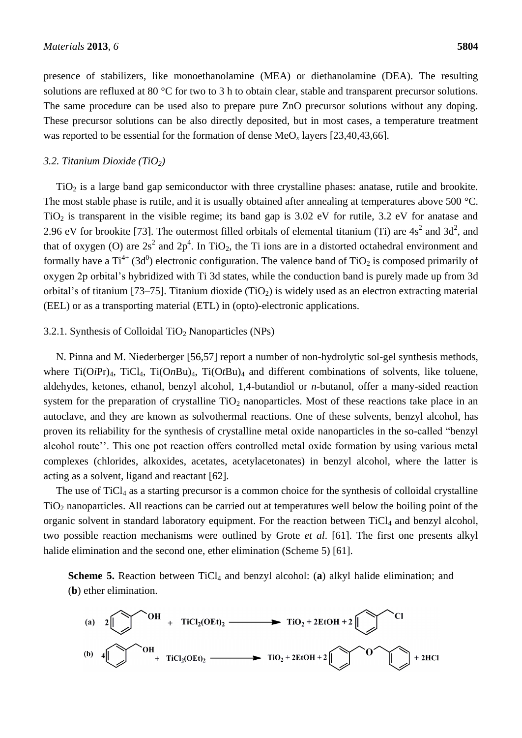presence of stabilizers, like monoethanolamine (MEA) or diethanolamine (DEA). The resulting solutions are refluxed at 80  $\degree$ C for two to 3 h to obtain clear, stable and transparent precursor solutions. The same procedure can be used also to prepare pure ZnO precursor solutions without any doping. These precursor solutions can be also directly deposited, but in most cases, a temperature treatment was reported to be essential for the formation of dense  $MeO<sub>x</sub>$  layers [23,40,43,66].

## *3.2. Titanium Dioxide (TiO2)*

 $TiO<sub>2</sub>$  is a large band gap semiconductor with three crystalline phases: anatase, rutile and brookite. The most stable phase is rutile, and it is usually obtained after annealing at temperatures above 500  $\mathcal{C}$ . TiO<sup>2</sup> is transparent in the visible regime; its band gap is 3.02 eV for rutile, 3.2 eV for anatase and 2.96 eV for brookite [73]. The outermost filled orbitals of elemental titanium (Ti) are  $4s<sup>2</sup>$  and  $3d<sup>2</sup>$ , and that of oxygen (O) are  $2s^2$  and  $2p^4$ . In TiO<sub>2</sub>, the Ti ions are in a distorted octahedral environment and formally have a Ti<sup>4+</sup> (3d<sup>0</sup>) electronic configuration. The valence band of TiO<sub>2</sub> is composed primarily of oxygen 2p orbital's hybridized with Ti 3d states, while the conduction band is purely made up from 3d orbital's of titanium [73–75]. Titanium dioxide  $(TiO<sub>2</sub>)$  is widely used as an electron extracting material (EEL) or as a transporting material (ETL) in (opto)-electronic applications.

## 3.2.1. Synthesis of Colloidal TiO<sub>2</sub> Nanoparticles (NPs)

N. Pinna and M. Niederberger [56,57] report a number of non-hydrolytic sol-gel synthesis methods, where Ti(O*i*Pr)<sub>4</sub>, TiCl<sub>4</sub>, Ti(O*n*Bu)<sub>4</sub>, Ti(O*t*Bu)<sub>4</sub> and different combinations of solvents, like toluene, aldehydes, ketones, ethanol, benzyl alcohol, 1,4-butandiol or *n*-butanol, offer a many-sided reaction system for the preparation of crystalline  $TiO<sub>2</sub>$  nanoparticles. Most of these reactions take place in an autoclave, and they are known as solvothermal reactions. One of these solvents, benzyl alcohol, has proven its reliability for the synthesis of crystalline metal oxide nanoparticles in the so-called "benzyl alcohol route''. This one pot reaction offers controlled metal oxide formation by using various metal complexes (chlorides, alkoxides, acetates, acetylacetonates) in benzyl alcohol, where the latter is acting as a solvent, ligand and reactant [62].

The use of TiCl<sub>4</sub> as a starting precursor is a common choice for the synthesis of colloidal crystalline TiO<sup>2</sup> nanoparticles. All reactions can be carried out at temperatures well below the boiling point of the organic solvent in standard laboratory equipment. For the reaction between  $TiCl<sub>4</sub>$  and benzyl alcohol, two possible reaction mechanisms were outlined by Grote *et al*. [61]. The first one presents alkyl halide elimination and the second one, ether elimination (Scheme 5) [61].

**Scheme 5.** Reaction between TiCl<sub>4</sub> and benzyl alcohol: (a) alkyl halide elimination; and (**b**) ether elimination.

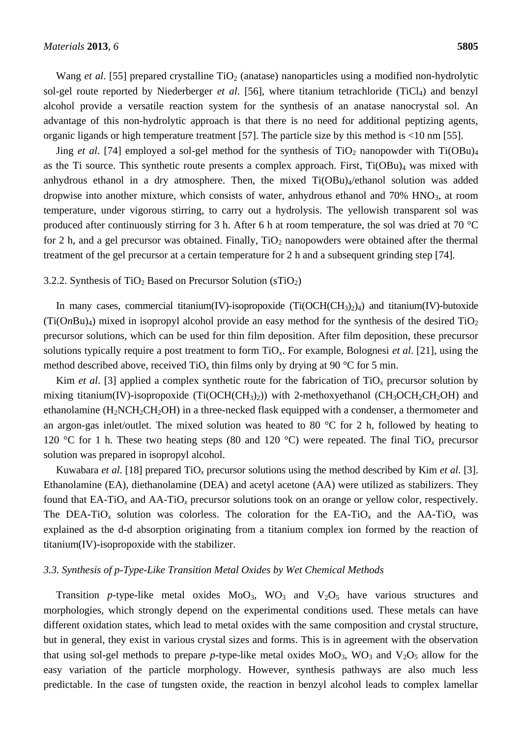Wang *et al.* [55] prepared crystalline TiO<sub>2</sub> (anatase) nanoparticles using a modified non-hydrolytic sol-gel route reported by Niederberger *et al.* [56], where titanium tetrachloride (TiCl<sub>4</sub>) and benzyl alcohol provide a versatile reaction system for the synthesis of an anatase nanocrystal sol. An advantage of this non-hydrolytic approach is that there is no need for additional peptizing agents, organic ligands or high temperature treatment [57]. The particle size by this method is <10 nm [55].

Jing *et al.* [74] employed a sol-gel method for the synthesis of TiO<sub>2</sub> nanopowder with Ti(OBu)<sub>4</sub> as the Ti source. This synthetic route presents a complex approach. First,  $Ti(OBu)<sub>4</sub>$  was mixed with anhydrous ethanol in a dry atmosphere. Then, the mixed  $Ti(OBu)_{4}/ethanol$  solution was added dropwise into another mixture, which consists of water, anhydrous ethanol and  $70\%$  HNO<sub>3</sub>, at room temperature, under vigorous stirring, to carry out a hydrolysis. The yellowish transparent sol was produced after continuously stirring for 3 h. After 6 h at room temperature, the sol was dried at 70  $\degree$ C for 2 h, and a gel precursor was obtained. Finally,  $TiO<sub>2</sub>$  nanopowders were obtained after the thermal treatment of the gel precursor at a certain temperature for 2 h and a subsequent grinding step [74].

#### 3.2.2. Synthesis of  $TiO<sub>2</sub>$  Based on Precursor Solution (sTiO<sub>2</sub>)

In many cases, commercial titanium(IV)-isopropoxide (Ti(OCH(CH<sub>3</sub>)<sub>2</sub>)<sub>4</sub>) and titanium(IV)-butoxide  $(Ti(OnBu)<sub>4</sub>)$  mixed in isopropyl alcohol provide an easy method for the synthesis of the desired  $TiO<sub>2</sub>$ precursor solutions, which can be used for thin film deposition. After film deposition, these precursor solutions typically require a post treatment to form TiO*x*. For example, Bolognesi *et al*. [21], using the method described above, received TiO<sub>x</sub> thin films only by drying at 90  $\degree$ C for 5 min.

Kim *et al.* [3] applied a complex synthetic route for the fabrication of  $TiO<sub>x</sub>$  precursor solution by mixing titanium(IV)-isopropoxide (Ti(OCH(CH<sub>3</sub>)<sub>2</sub>)) with 2-methoxyethanol (CH<sub>3</sub>OCH<sub>2</sub>CH<sub>2</sub>OH) and ethanolamine  $(H_2NCH_2CH_2OH)$  in a three-necked flask equipped with a condenser, a thermometer and an argon-gas inlet/outlet. The mixed solution was heated to 80  $\degree$  C for 2 h, followed by heating to 120 °C for 1 h. These two heating steps (80 and 120 °C) were repeated. The final TiO<sub>x</sub> precursor solution was prepared in isopropyl alcohol.

Kuwabara *et al*. [18] prepared TiO*<sup>x</sup>* precursor solutions using the method described by Kim *et al*. [3]. Ethanolamine (EA), diethanolamine (DEA) and acetyl acetone (AA) were utilized as stabilizers. They found that EA-TiO*<sup>x</sup>* and AA-TiO*<sup>x</sup>* precursor solutions took on an orange or yellow color, respectively. The DEA-TiO<sub>x</sub> solution was colorless. The coloration for the EA-TiO<sub>x</sub> and the AA-TiO<sub>x</sub> was explained as the d-d absorption originating from a titanium complex ion formed by the reaction of titanium(IV)-isopropoxide with the stabilizer.

#### *3.3. Synthesis of p-Type-Like Transition Metal Oxides by Wet Chemical Methods*

Transition *p*-type-like metal oxides  $MoO<sub>3</sub>$ ,  $WO<sub>3</sub>$  and  $V<sub>2</sub>O<sub>5</sub>$  have various structures and morphologies, which strongly depend on the experimental conditions used. These metals can have different oxidation states, which lead to metal oxides with the same composition and crystal structure, but in general, they exist in various crystal sizes and forms. This is in agreement with the observation that using sol-gel methods to prepare *p*-type-like metal oxides  $MoO<sub>3</sub>$ ,  $WO<sub>3</sub>$  and  $V<sub>2</sub>O<sub>5</sub>$  allow for the easy variation of the particle morphology. However, synthesis pathways are also much less predictable. In the case of tungsten oxide, the reaction in benzyl alcohol leads to complex lamellar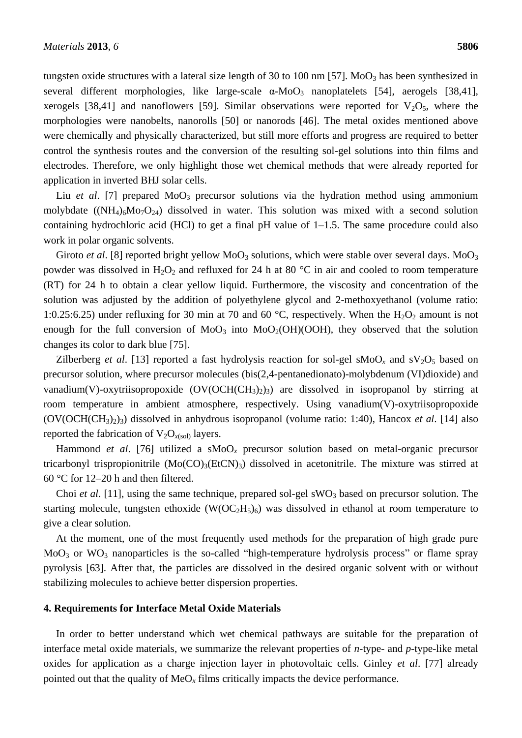tungsten oxide structures with a lateral size length of 30 to 100 nm [57]. MoO<sub>3</sub> has been synthesized in several different morphologies, like large-scale  $\alpha$ -MoO<sub>3</sub> nanoplatelets [54], aerogels [38,41], xerogels [38,41] and nanoflowers [59]. Similar observations were reported for  $V_2O_5$ , where the morphologies were nanobelts, nanorolls [50] or nanorods [46]. The metal oxides mentioned above were chemically and physically characterized, but still more efforts and progress are required to better control the synthesis routes and the conversion of the resulting sol-gel solutions into thin films and electrodes. Therefore, we only highlight those wet chemical methods that were already reported for application in inverted BHJ solar cells.

Liu *et al.* [7] prepared  $MoO<sub>3</sub>$  precursor solutions via the hydration method using ammonium molybdate  $((NH_4)_6Mo_7O_{24})$  dissolved in water. This solution was mixed with a second solution containing hydrochloric acid (HCl) to get a final pH value of 1–1.5. The same procedure could also work in polar organic solvents.

Giroto *et al.* [8] reported bright yellow  $MoO<sub>3</sub>$  solutions, which were stable over several days.  $MoO<sub>3</sub>$ powder was dissolved in  $H_2O_2$  and refluxed for 24 h at 80 °C in air and cooled to room temperature (RT) for 24 h to obtain a clear yellow liquid. Furthermore, the viscosity and concentration of the solution was adjusted by the addition of polyethylene glycol and 2-methoxyethanol (volume ratio: 1:0.25:6.25) under refluxing for 30 min at 70 and 60 °C, respectively. When the  $H_2O_2$  amount is not enough for the full conversion of  $MoO<sub>3</sub>$  into  $MoO<sub>2</sub>(OH)(OOH)$ , they observed that the solution changes its color to dark blue [75].

Zilberberg *et al.* [13] reported a fast hydrolysis reaction for sol-gel sMoO<sub>x</sub> and sV<sub>2</sub>O<sub>5</sub> based on precursor solution, where precursor molecules (bis(2,4-pentanedionato)-molybdenum (VI)dioxide) and vanadium(V)-oxytriisopropoxide  $(OV(OCH(CH_3)_2)_3)$  are dissolved in isopropanol by stirring at room temperature in ambient atmosphere, respectively. Using vanadium(V)-oxytriisopropoxide (OV(OCH(CH3)2)3) dissolved in anhydrous isopropanol (volume ratio: 1:40), Hancox *et al*. [14] also reported the fabrication of  $V_2O_{x(sol)}$  layers.

Hammond *et al.* [76] utilized a  $sMoO<sub>x</sub>$  precursor solution based on metal-organic precursor tricarbonyl trispropionitrile  $(Mo(CO)<sub>3</sub>(EtCN)<sub>3</sub>)$  dissolved in acetonitrile. The mixture was stirred at 60  $\degree$ C for 12–20 h and then filtered.

Choi *et al.* [11], using the same technique, prepared sol-gel sWO<sub>3</sub> based on precursor solution. The starting molecule, tungsten ethoxide ( $W(OC_2H_5)_6$ ) was dissolved in ethanol at room temperature to give a clear solution.

At the moment, one of the most frequently used methods for the preparation of high grade pure  $Mo<sub>3</sub>$  or WO<sub>3</sub> nanoparticles is the so-called "high-temperature hydrolysis process" or flame spray pyrolysis [63]. After that, the particles are dissolved in the desired organic solvent with or without stabilizing molecules to achieve better dispersion properties.

## **4. Requirements for Interface Metal Oxide Materials**

In order to better understand which wet chemical pathways are suitable for the preparation of interface metal oxide materials, we summarize the relevant properties of *n*-type- and *p*-type-like metal oxides for application as a charge injection layer in photovoltaic cells. Ginley *et al*. [77] already pointed out that the quality of  $\text{MeO}_x$  films critically impacts the device performance.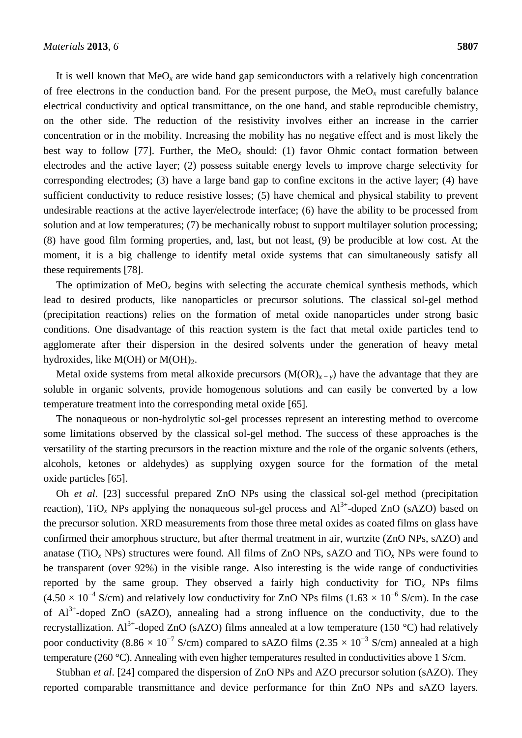It is well known that  $MeO<sub>x</sub>$  are wide band gap semiconductors with a relatively high concentration of free electrons in the conduction band. For the present purpose, the  $MeO<sub>x</sub>$  must carefully balance electrical conductivity and optical transmittance, on the one hand, and stable reproducible chemistry, on the other side. The reduction of the resistivity involves either an increase in the carrier concentration or in the mobility. Increasing the mobility has no negative effect and is most likely the best way to follow [77]. Further, the MeO*<sup>x</sup>* should: (1) favor Ohmic contact formation between electrodes and the active layer; (2) possess suitable energy levels to improve charge selectivity for corresponding electrodes; (3) have a large band gap to confine excitons in the active layer; (4) have sufficient conductivity to reduce resistive losses; (5) have chemical and physical stability to prevent undesirable reactions at the active layer/electrode interface; (6) have the ability to be processed from solution and at low temperatures; (7) be mechanically robust to support multilayer solution processing; (8) have good film forming properties, and, last, but not least, (9) be producible at low cost. At the moment, it is a big challenge to identify metal oxide systems that can simultaneously satisfy all these requirements [78].

The optimization of MeO*<sup>x</sup>* begins with selecting the accurate chemical synthesis methods, which lead to desired products, like nanoparticles or precursor solutions. The classical sol-gel method (precipitation reactions) relies on the formation of metal oxide nanoparticles under strong basic conditions. One disadvantage of this reaction system is the fact that metal oxide particles tend to agglomerate after their dispersion in the desired solvents under the generation of heavy metal hydroxides, like  $M(OH)$  or  $M(OH)<sub>2</sub>$ .

Metal oxide systems from metal alkoxide precursors  $(M(OR)_{x-y})$  have the advantage that they are soluble in organic solvents, provide homogenous solutions and can easily be converted by a low temperature treatment into the corresponding metal oxide [65].

The nonaqueous or non-hydrolytic sol-gel processes represent an interesting method to overcome some limitations observed by the classical sol-gel method. The success of these approaches is the versatility of the starting precursors in the reaction mixture and the role of the organic solvents (ethers, alcohols, ketones or aldehydes) as supplying oxygen source for the formation of the metal oxide particles [65].

Oh *et al*. [23] successful prepared ZnO NPs using the classical sol-gel method (precipitation reaction), TiO<sub>x</sub> NPs applying the nonaqueous sol-gel process and  $Al^{3+}$ -doped ZnO (sAZO) based on the precursor solution. XRD measurements from those three metal oxides as coated films on glass have confirmed their amorphous structure, but after thermal treatment in air, wurtzite (ZnO NPs, sAZO) and anatase (TiO*<sup>x</sup>* NPs) structures were found. All films of ZnO NPs, sAZO and TiO*<sup>x</sup>* NPs were found to be transparent (over 92%) in the visible range. Also interesting is the wide range of conductivities reported by the same group. They observed a fairly high conductivity for  $TiO<sub>x</sub>$  NPs films  $(4.50 \times 10^{-4} \text{ S/cm})$  and relatively low conductivity for ZnO NPs films  $(1.63 \times 10^{-6} \text{ S/cm})$ . In the case of  $Al^{3+}$ -doped ZnO (sAZO), annealing had a strong influence on the conductivity, due to the recrystallization. Al<sup>3+</sup>-doped ZnO (sAZO) films annealed at a low temperature (150 °C) had relatively poor conductivity (8.86  $\times 10^{-7}$  S/cm) compared to sAZO films (2.35  $\times 10^{-3}$  S/cm) annealed at a high temperature (260 °C). Annealing with even higher temperatures resulted in conductivities above 1 S/cm.

Stubhan *et al*. [24] compared the dispersion of ZnO NPs and AZO precursor solution (sAZO). They reported comparable transmittance and device performance for thin ZnO NPs and sAZO layers.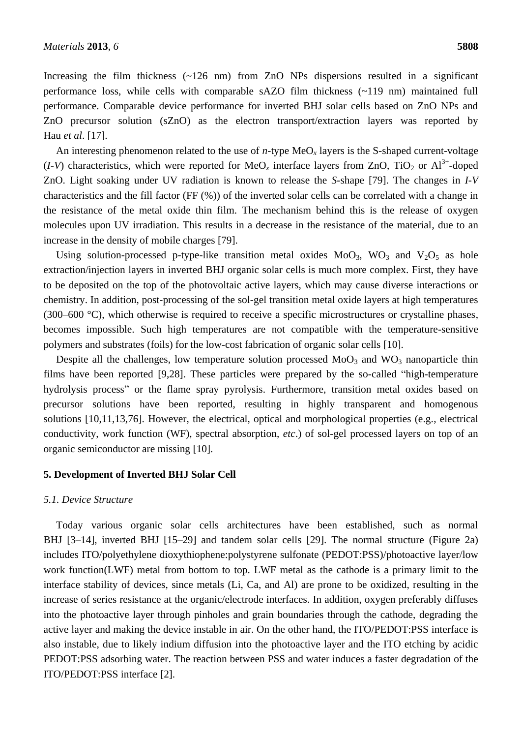Increasing the film thickness (~126 nm) from ZnO NPs dispersions resulted in a significant performance loss, while cells with comparable sAZO film thickness (~119 nm) maintained full performance. Comparable device performance for inverted BHJ solar cells based on ZnO NPs and ZnO precursor solution (sZnO) as the electron transport/extraction layers was reported by Hau *et al*. [17].

An interesting phenomenon related to the use of  $n$ -type  $MeO_x$  layers is the S-shaped current-voltage  $(I-V)$  characteristics, which were reported for MeO<sub>x</sub> interface layers from ZnO, TiO<sub>2</sub> or Al<sup>3+</sup>-doped ZnO. Light soaking under UV radiation is known to release the *S*-shape [79]. The changes in *I*-*V*  characteristics and the fill factor (FF (%)) of the inverted solar cells can be correlated with a change in the resistance of the metal oxide thin film. The mechanism behind this is the release of oxygen molecules upon UV irradiation. This results in a decrease in the resistance of the material, due to an increase in the density of mobile charges [79].

Using solution-processed p-type-like transition metal oxides  $MoO<sub>3</sub>$ ,  $WO<sub>3</sub>$  and  $V<sub>2</sub>O<sub>5</sub>$  as hole extraction/injection layers in inverted BHJ organic solar cells is much more complex. First, they have to be deposited on the top of the photovoltaic active layers, which may cause diverse interactions or chemistry. In addition, post-processing of the sol-gel transition metal oxide layers at high temperatures (300–600 °C), which otherwise is required to receive a specific microstructures or crystalline phases, becomes impossible. Such high temperatures are not compatible with the temperature-sensitive polymers and substrates (foils) for the low-cost fabrication of organic solar cells [10].

Despite all the challenges, low temperature solution processed  $MoO<sub>3</sub>$  and  $WO<sub>3</sub>$  nanoparticle thin films have been reported [9,28]. These particles were prepared by the so-called "high-temperature hydrolysis process" or the flame spray pyrolysis. Furthermore, transition metal oxides based on precursor solutions have been reported, resulting in highly transparent and homogenous solutions [10,11,13,76]. However, the electrical, optical and morphological properties (e.g., electrical conductivity, work function (WF), spectral absorption, *etc*.) of sol-gel processed layers on top of an organic semiconductor are missing [10].

## **5. Development of Inverted BHJ Solar Cell**

## *5.1. Device Structure*

Today various organic solar cells architectures have been established, such as normal BHJ [3-14], inverted BHJ [15-29] and tandem solar cells [29]. The normal structure (Figure 2a) includes ITO/polyethylene dioxythiophene:polystyrene sulfonate (PEDOT:PSS)/photoactive layer/low work function(LWF) metal from bottom to top. LWF metal as the cathode is a primary limit to the interface stability of devices, since metals (Li, Ca, and Al) are prone to be oxidized, resulting in the increase of series resistance at the organic/electrode interfaces. In addition, oxygen preferably diffuses into the photoactive layer through pinholes and grain boundaries through the cathode, degrading the active layer and making the device instable in air. On the other hand, the ITO/PEDOT:PSS interface is also instable, due to likely indium diffusion into the photoactive layer and the ITO etching by acidic PEDOT:PSS adsorbing water. The reaction between PSS and water induces a faster degradation of the ITO/PEDOT:PSS interface [2].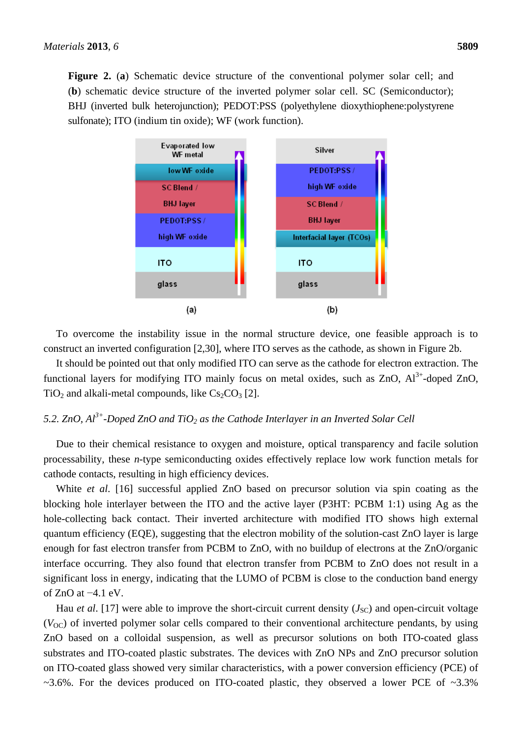**Figure 2.** (**a**) Schematic device structure of the conventional polymer solar cell; and (**b**) schematic device structure of the inverted polymer solar cell. SC (Semiconductor); BHJ (inverted bulk heterojunction); PEDOT:PSS (polyethylene dioxythiophene:polystyrene sulfonate); ITO (indium tin oxide); WF (work function).



To overcome the instability issue in the normal structure device, one feasible approach is to construct an inverted configuration [2,30], where ITO serves as the cathode, as shown in Figure 2b.

It should be pointed out that only modified ITO can serve as the cathode for electron extraction. The functional layers for modifying ITO mainly focus on metal oxides, such as  $ZnO$ ,  $Al^{3+}$ -doped  $ZnO$ ,  $TiO<sub>2</sub>$  and alkali-metal compounds, like  $Cs<sub>2</sub>CO<sub>3</sub>$  [2].

# *5.2. ZnO, Al3+ -Doped ZnO and TiO<sup>2</sup> as the Cathode Interlayer in an Inverted Solar Cell*

Due to their chemical resistance to oxygen and moisture, optical transparency and facile solution processability, these *n*-type semiconducting oxides effectively replace low work function metals for cathode contacts, resulting in high efficiency devices.

White *et al*. [16] successful applied ZnO based on precursor solution via spin coating as the blocking hole interlayer between the ITO and the active layer (P3HT: PCBM 1:1) using Ag as the hole-collecting back contact. Their inverted architecture with modified ITO shows high external quantum efficiency (EQE), suggesting that the electron mobility of the solution-cast ZnO layer is large enough for fast electron transfer from PCBM to ZnO, with no buildup of electrons at the ZnO/organic interface occurring. They also found that electron transfer from PCBM to ZnO does not result in a significant loss in energy, indicating that the LUMO of PCBM is close to the conduction band energy of ZnO at −4.1 eV.

Hau *et al.* [17] were able to improve the short-circuit current density  $(J_{SC})$  and open-circuit voltage  $(V<sub>OC</sub>)$  of inverted polymer solar cells compared to their conventional architecture pendants, by using ZnO based on a colloidal suspension, as well as precursor solutions on both ITO-coated glass substrates and ITO-coated plastic substrates. The devices with ZnO NPs and ZnO precursor solution on ITO-coated glass showed very similar characteristics, with a power conversion efficiency (PCE) of  $\sim$ 3.6%. For the devices produced on ITO-coated plastic, they observed a lower PCE of  $\sim$ 3.3%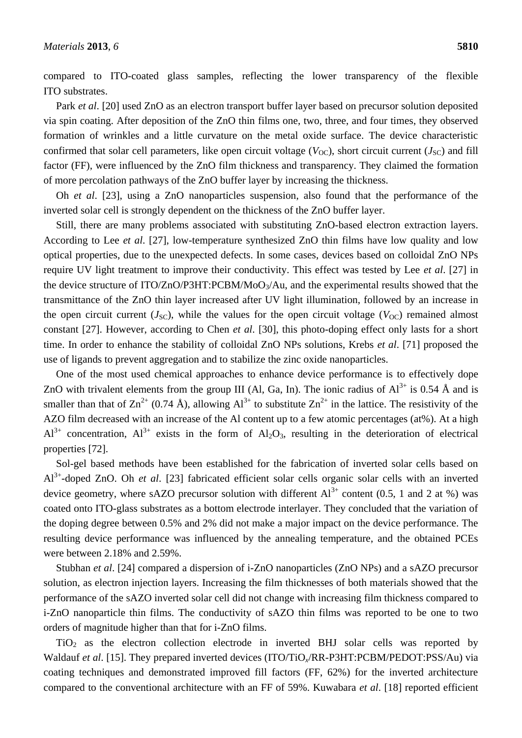compared to ITO-coated glass samples, reflecting the lower transparency of the flexible ITO substrates.

Park *et al*. [20] used ZnO as an electron transport buffer layer based on precursor solution deposited via spin coating. After deposition of the ZnO thin films one, two, three, and four times, they observed formation of wrinkles and a little curvature on the metal oxide surface. The device characteristic confirmed that solar cell parameters, like open circuit voltage  $(V_{OC})$ , short circuit current  $(J_{SC})$  and fill factor (FF), were influenced by the ZnO film thickness and transparency. They claimed the formation of more percolation pathways of the ZnO buffer layer by increasing the thickness.

Oh *et al*. [23], using a ZnO nanoparticles suspension, also found that the performance of the inverted solar cell is strongly dependent on the thickness of the ZnO buffer layer.

Still, there are many problems associated with substituting ZnO-based electron extraction layers. According to Lee *et al*. [27], low-temperature synthesized ZnO thin films have low quality and low optical properties, due to the unexpected defects. In some cases, devices based on colloidal ZnO NPs require UV light treatment to improve their conductivity. This effect was tested by Lee *et al*. [27] in the device structure of  $ITO/ZnO/P3HT$ :PCBM/MoO<sub>3</sub>/Au, and the experimental results showed that the transmittance of the ZnO thin layer increased after UV light illumination, followed by an increase in the open circuit current  $(J_{\rm SC})$ , while the values for the open circuit voltage  $(V_{\rm OC})$  remained almost constant [27]. However, according to Chen *et al*. [30], this photo-doping effect only lasts for a short time. In order to enhance the stability of colloidal ZnO NPs solutions, Krebs *et al*. [71] proposed the use of ligands to prevent aggregation and to stabilize the zinc oxide nanoparticles.

One of the most used chemical approaches to enhance device performance is to effectively dope ZnO with trivalent elements from the group III (Al, Ga, In). The ionic radius of  $Al^{3+}$  is 0.54 Å and is smaller than that of  $\text{Zn}^{2+}$  (0.74 Å), allowing  $\text{Al}^{3+}$  to substitute  $\text{Zn}^{2+}$  in the lattice. The resistivity of the AZO film decreased with an increase of the Al content up to a few atomic percentages (at%). At a high  $Al^{3+}$  concentration,  $Al^{3+}$  exists in the form of  $Al_2O_3$ , resulting in the deterioration of electrical properties [72].

Sol-gel based methods have been established for the fabrication of inverted solar cells based on Al<sup>3+</sup>-doped ZnO. Oh *et al.* [23] fabricated efficient solar cells organic solar cells with an inverted device geometry, where sAZO precursor solution with different  $Al^{3+}$  content (0.5, 1 and 2 at %) was coated onto ITO-glass substrates as a bottom electrode interlayer. They concluded that the variation of the doping degree between 0.5% and 2% did not make a major impact on the device performance. The resulting device performance was influenced by the annealing temperature, and the obtained PCEs were between 2.18% and 2.59%.

Stubhan *et al*. [24] compared a dispersion of i-ZnO nanoparticles (ZnO NPs) and a sAZO precursor solution, as electron injection layers. Increasing the film thicknesses of both materials showed that the performance of the sAZO inverted solar cell did not change with increasing film thickness compared to i-ZnO nanoparticle thin films. The conductivity of sAZO thin films was reported to be one to two orders of magnitude higher than that for i-ZnO films.

TiO<sup>2</sup> as the electron collection electrode in inverted BHJ solar cells was reported by Waldauf *et al*. [15]. They prepared inverted devices (ITO/TiO*x*/RR-P3HT:PCBM/PEDOT:PSS/Au) via coating techniques and demonstrated improved fill factors (FF, 62%) for the inverted architecture compared to the conventional architecture with an FF of 59%. Kuwabara *et al*. [18] reported efficient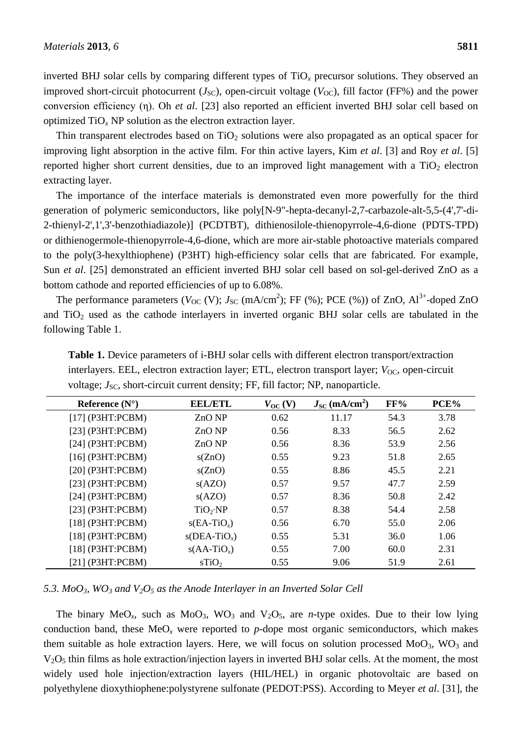inverted BHJ solar cells by comparing different types of  $TiO<sub>x</sub>$  precursor solutions. They observed an improved short-circuit photocurrent  $(J_{\rm SC})$ , open-circuit voltage  $(V_{\rm OC})$ , fill factor (FF%) and the power conversion efficiency (η). Oh *et al*. [23] also reported an efficient inverted BHJ solar cell based on optimized TiO*<sup>x</sup>* NP solution as the electron extraction layer.

Thin transparent electrodes based on  $TiO<sub>2</sub>$  solutions were also propagated as an optical spacer for improving light absorption in the active film. For thin active layers, Kim *et al*. [3] and Roy *et al*. [5] reported higher short current densities, due to an improved light management with a  $TiO<sub>2</sub>$  electron extracting layer.

The importance of the interface materials is demonstrated even more powerfully for the third generation of polymeric semiconductors, like poly[N-9"-hepta-decanyl-2,7-carbazole-alt-5,5-(4',7'-di-2-thienyl-2',1',3'-benzothiadiazole)] (PCDTBT), dithienosilole-thienopyrrole-4,6-dione (PDTS-TPD) or dithienogermole-thienopyrrole-4,6-dione, which are more air-stable photoactive materials compared to the poly(3-hexylthiophene) (P3HT) high-efficiency solar cells that are fabricated. For example, Sun *et al*. [25] demonstrated an efficient inverted BHJ solar cell based on sol-gel-derived ZnO as a bottom cathode and reported efficiencies of up to 6.08%.

The performance parameters ( $V_{\text{OC}}$  (V);  $J_{\text{SC}}$  (mA/cm<sup>2</sup>); FF (%); PCE (%)) of ZnO, Al<sup>3+</sup>-doped ZnO and TiO<sup>2</sup> used as the cathode interlayers in inverted organic BHJ solar cells are tabulated in the following Table 1.

| Reference (N $\degree$ ) | <b>EEL/ETL</b>    | $V_{OC}$ (V) | $J_{\rm SC}$ (mA/cm <sup>2</sup> ) | FF%  | PCE% |
|--------------------------|-------------------|--------------|------------------------------------|------|------|
| $[17]$ (P3HT:PCBM)       | ZnO NP            | 0.62         | 11.17                              | 54.3 | 3.78 |
| [23] $(P3HT:PCBM)$       | ZnO NP            | 0.56         | 8.33                               | 56.5 | 2.62 |
| [24] (P3HT:PCBM)         | ZnO NP            | 0.56         | 8.36                               | 53.9 | 2.56 |
| [16] (P3HT:PCBM)         | s(ZnO)            | 0.55         | 9.23                               | 51.8 | 2.65 |
| [20] (P3HT:PCBM)         | s(ZnO)            | 0.55         | 8.86                               | 45.5 | 2.21 |
| [23] $(P3HT:PCBM)$       | s(AZO)            | 0.57         | 9.57                               | 47.7 | 2.59 |
| [24] $(P3HT:PCBM)$       | s(AZO)            | 0.57         | 8.36                               | 50.8 | 2.42 |
| [23] $(P3HT:PCBM)$       | $TiO_2$ ·NP       | 0.57         | 8.38                               | 54.4 | 2.58 |
| $[18]$ (P3HT:PCBM)       | $s(EA-TiOx)$      | 0.56         | 6.70                               | 55.0 | 2.06 |
| [18] (P3HT:PCBM)         | $s(DEA-TiOr)$     | 0.55         | 5.31                               | 36.0 | 1.06 |
| $[18]$ (P3HT:PCBM)       | $s(AA-TiO_r)$     | 0.55         | 7.00                               | 60.0 | 2.31 |
| $[21]$ (P3HT:PCBM)       | sTiO <sub>2</sub> | 0.55         | 9.06                               | 51.9 | 2.61 |

**Table 1.** Device parameters of i-BHJ solar cells with different electron transport/extraction interlayers. EEL, electron extraction layer; ETL, electron transport layer;  $V_{OC}$ , open-circuit voltage;  $J_{SC}$ , short-circuit current density; FF, fill factor; NP, nanoparticle.

# *5.3. MoO3, WO<sup>3</sup> and V2O<sup>5</sup> as the Anode Interlayer in an Inverted Solar Cell*

The binary MeO<sub>x</sub>, such as MoO<sub>3</sub>, WO<sub>3</sub> and V<sub>2</sub>O<sub>5</sub>, are *n*-type oxides. Due to their low lying conduction band, these  $\text{MeO}_x$  were reported to *p*-dope most organic semiconductors, which makes them suitable as hole extraction layers. Here, we will focus on solution processed  $MoO<sub>3</sub>$ , WO<sub>3</sub> and  $V<sub>2</sub>O<sub>5</sub>$  thin films as hole extraction/injection layers in inverted BHJ solar cells. At the moment, the most widely used hole injection/extraction layers (HIL/HEL) in organic photovoltaic are based on polyethylene dioxythiophene:polystyrene sulfonate (PEDOT:PSS). According to Meyer *et al*. [31], the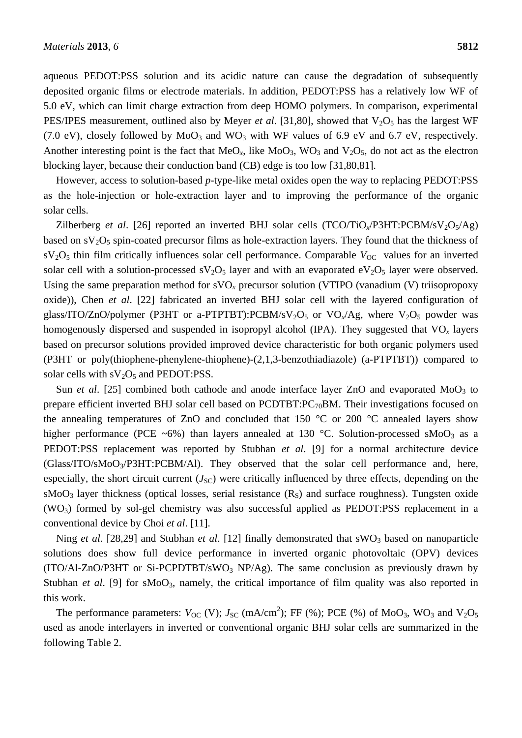aqueous PEDOT:PSS solution and its acidic nature can cause the degradation of subsequently deposited organic films or electrode materials. In addition, PEDOT:PSS has a relatively low WF of 5.0 eV, which can limit charge extraction from deep HOMO polymers. In comparison, experimental PES/IPES measurement, outlined also by Meyer *et al.* [31,80], showed that  $V_2O_5$  has the largest WF (7.0 eV), closely followed by  $MoO<sub>3</sub>$  and  $WO<sub>3</sub>$  with WF values of 6.9 eV and 6.7 eV, respectively. Another interesting point is the fact that  $MeO_x$ , like  $MoO_3$ ,  $WO_3$  and  $V_2O_5$ , do not act as the electron blocking layer, because their conduction band (CB) edge is too low [31,80,81].

However, access to solution-based *p*-type-like metal oxides open the way to replacing PEDOT:PSS as the hole-injection or hole-extraction layer and to improving the performance of the organic solar cells.

Zilberberg *et al.* [26] reported an inverted BHJ solar cells  $(TCO/TiO<sub>x</sub>/P3HT:PCBM/sV<sub>2</sub>O<sub>5</sub>/Ag)$ based on  $sV_2O_5$  spin-coated precursor films as hole-extraction layers. They found that the thickness of  $sV<sub>2</sub>O<sub>5</sub>$  thin film critically influences solar cell performance. Comparable  $V<sub>OC</sub>$  values for an inverted solar cell with a solution-processed  $sV_2O_5$  layer and with an evaporated  $eV_2O_5$  layer were observed. Using the same preparation method for sVO<sub>x</sub> precursor solution (VTIPO (vanadium (V) triisopropoxy oxide)), Chen *et al*. [22] fabricated an inverted BHJ solar cell with the layered configuration of glass/ITO/ZnO/polymer (P3HT or a-PTPTBT):PCBM/sV<sub>2</sub>O<sub>5</sub> or VO<sub>x</sub>/Ag, where V<sub>2</sub>O<sub>5</sub> powder was homogenously dispersed and suspended in isopropyl alcohol (IPA). They suggested that VO*<sup>x</sup>* layers based on precursor solutions provided improved device characteristic for both organic polymers used (P3HT or poly(thiophene-phenylene-thiophene)-(2,1,3-benzothiadiazole) (a-PTPTBT)) compared to solar cells with  $sV<sub>2</sub>O<sub>5</sub>$  and PEDOT:PSS.

Sun *et al.* [25] combined both cathode and anode interface layer ZnO and evaporated  $MoO<sub>3</sub>$  to prepare efficient inverted BHJ solar cell based on  $PCDTBT:PC_{70}BM$ . Their investigations focused on the annealing temperatures of ZnO and concluded that 150  $\degree$  C or 200  $\degree$ C annealed layers show higher performance (PCE ~6%) than layers annealed at 130 °C. Solution-processed sMoO<sub>3</sub> as a PEDOT:PSS replacement was reported by Stubhan *et al*. [9] for a normal architecture device (Glass/ITO/sMoO3/P3HT:PCBM/Al). They observed that the solar cell performance and, here, especially, the short circuit current  $(J_{\rm SC})$  were critically influenced by three effects, depending on the  $sMoO<sub>3</sub>$  layer thickness (optical losses, serial resistance  $(R<sub>S</sub>)$  and surface roughness). Tungsten oxide (WO3) formed by sol-gel chemistry was also successful applied as PEDOT:PSS replacement in a conventional device by Choi *et al*. [11].

Ning *et al.* [28,29] and Stubhan *et al.* [12] finally demonstrated that sWO<sub>3</sub> based on nanoparticle solutions does show full device performance in inverted organic photovoltaic (OPV) devices  $(TTO/A1-ZnO/P3HT$  or Si-PCPDTBT/sWO<sub>3</sub> NP/Ag). The same conclusion as previously drawn by Stubhan *et al.* [9] for sMoO<sub>3</sub>, namely, the critical importance of film quality was also reported in this work.

The performance parameters:  $V_{OC}$  (V);  $J_{SC}$  (mA/cm<sup>2</sup>); FF (%); PCE (%) of MoO<sub>3</sub>, WO<sub>3</sub> and V<sub>2</sub>O<sub>5</sub> used as anode interlayers in inverted or conventional organic BHJ solar cells are summarized in the following Table 2.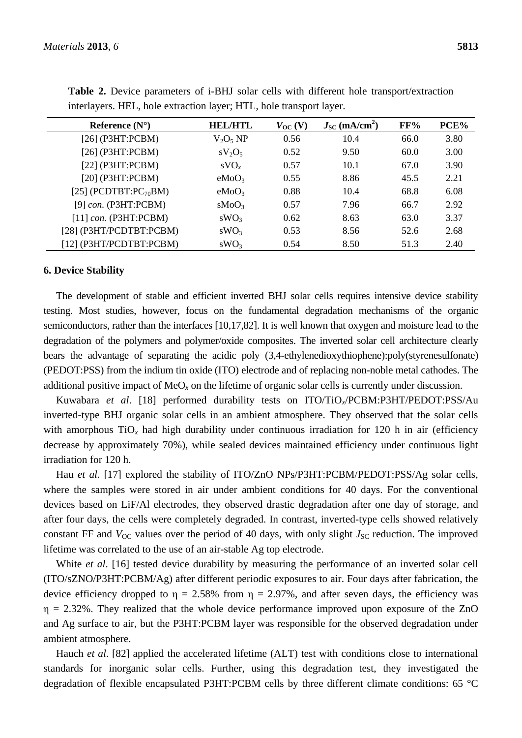| Reference (N $\degree$ )          | <b>HEL/HTL</b>    | $V_{OC}$ (V) | $J_{\rm SC}$ (mA/cm <sup>2</sup> ) | FF%  | PCE% |
|-----------------------------------|-------------------|--------------|------------------------------------|------|------|
| [26] (P3HT:PCBM)                  | $V_2O_5 NP$       | 0.56         | 10.4                               | 66.0 | 3.80 |
| [26] (P3HT:PCBM)                  | $sV_2O_5$         | 0.52         | 9.50                               | 60.0 | 3.00 |
| [22] (P3HT:PCBM)                  | $SVO_r$           | 0.57         | 10.1                               | 67.0 | 3.90 |
| $[20]$ (P3HT:PCBM)                | eMoO <sub>3</sub> | 0.55         | 8.86                               | 45.5 | 2.21 |
| [25] (PCDTBT:PC <sub>70</sub> BM) | eMoO <sub>3</sub> | 0.88         | 10.4                               | 68.8 | 6.08 |
| [9] $con.$ (P3HT:PCBM)            | sMoO <sub>3</sub> | 0.57         | 7.96                               | 66.7 | 2.92 |
| [11] $con.$ (P3HT:PCBM)           | sWO <sub>3</sub>  | 0.62         | 8.63                               | 63.0 | 3.37 |
| [28] (P3HT/PCDTBT:PCBM)           | $sWO_3$           | 0.53         | 8.56                               | 52.6 | 2.68 |
| [12] (P3HT/PCDTBT:PCBM)           | sWO <sub>3</sub>  | 0.54         | 8.50                               | 51.3 | 2.40 |

**Table 2.** Device parameters of i-BHJ solar cells with different hole transport/extraction interlayers. HEL, hole extraction layer; HTL, hole transport layer.

# **6. Device Stability**

The development of stable and efficient inverted BHJ solar cells requires intensive device stability testing. Most studies, however, focus on the fundamental degradation mechanisms of the organic semiconductors, rather than the interfaces [10,17,82]. It is well known that oxygen and moisture lead to the degradation of the polymers and polymer/oxide composites. The inverted solar cell architecture clearly bears the advantage of separating the acidic poly (3,4-ethylenedioxythiophene):poly(styrenesulfonate) (PEDOT:PSS) from the indium tin oxide (ITO) electrode and of replacing non-noble metal cathodes. The additional positive impact of MeO*<sup>x</sup>* on the lifetime of organic solar cells is currently under discussion.

Kuwabara *et al*. [18] performed durability tests on ITO/TiO*x*/PCBM:P3HT/PEDOT:PSS/Au inverted-type BHJ organic solar cells in an ambient atmosphere. They observed that the solar cells with amorphous  $TiO_x$  had high durability under continuous irradiation for 120 h in air (efficiency decrease by approximately 70%), while sealed devices maintained efficiency under continuous light irradiation for 120 h.

Hau *et al*. [17] explored the stability of ITO/ZnO NPs/P3HT:PCBM/PEDOT:PSS/Ag solar cells, where the samples were stored in air under ambient conditions for 40 days. For the conventional devices based on LiF/Al electrodes, they observed drastic degradation after one day of storage, and after four days, the cells were completely degraded. In contrast, inverted-type cells showed relatively constant FF and  $V_{OC}$  values over the period of 40 days, with only slight  $J_{SC}$  reduction. The improved lifetime was correlated to the use of an air-stable Ag top electrode.

White *et al*. [16] tested device durability by measuring the performance of an inverted solar cell (ITO/sZNO/P3HT:PCBM/Ag) after different periodic exposures to air. Four days after fabrication, the device efficiency dropped to  $\eta = 2.58\%$  from  $\eta = 2.97\%$ , and after seven days, the efficiency was  $\eta = 2.32\%$ . They realized that the whole device performance improved upon exposure of the ZnO and Ag surface to air, but the P3HT:PCBM layer was responsible for the observed degradation under ambient atmosphere.

Hauch *et al*. [82] applied the accelerated lifetime (ALT) test with conditions close to international standards for inorganic solar cells. Further, using this degradation test, they investigated the degradation of flexible encapsulated P3HT:PCBM cells by three different climate conditions: 65 °C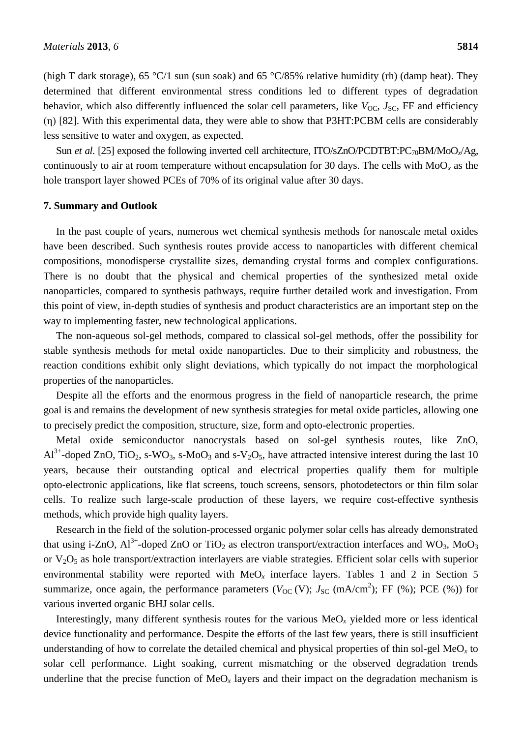(high T dark storage), 65 °C/1 sun (sun soak) and 65 °C/85% relative humidity (rh) (damp heat). They determined that different environmental stress conditions led to different types of degradation behavior, which also differently influenced the solar cell parameters, like  $V_{\text{OC}}$ ,  $J_{\text{SC}}$ , FF and efficiency (η) [82]. With this experimental data, they were able to show that P3HT:PCBM cells are considerably less sensitive to water and oxygen, as expected.

Sun *et al.* [25] exposed the following inverted cell architecture, ITO/sZnO/PCDTBT:PC<sub>70</sub>BM/MoO<sub>x</sub>/Ag, continuously to air at room temperature without encapsulation for 30 days. The cells with  $MoO<sub>x</sub>$  as the hole transport layer showed PCEs of 70% of its original value after 30 days.

#### **7. Summary and Outlook**

In the past couple of years, numerous wet chemical synthesis methods for nanoscale metal oxides have been described. Such synthesis routes provide access to nanoparticles with different chemical compositions, monodisperse crystallite sizes, demanding crystal forms and complex configurations. There is no doubt that the physical and chemical properties of the synthesized metal oxide nanoparticles, compared to synthesis pathways, require further detailed work and investigation. From this point of view, in-depth studies of synthesis and product characteristics are an important step on the way to implementing faster, new technological applications.

The non-aqueous sol-gel methods, compared to classical sol-gel methods, offer the possibility for stable synthesis methods for metal oxide nanoparticles. Due to their simplicity and robustness, the reaction conditions exhibit only slight deviations, which typically do not impact the morphological properties of the nanoparticles.

Despite all the efforts and the enormous progress in the field of nanoparticle research, the prime goal is and remains the development of new synthesis strategies for metal oxide particles, allowing one to precisely predict the composition, structure, size, form and opto-electronic properties.

Metal oxide semiconductor nanocrystals based on sol-gel synthesis routes, like ZnO,  $Al^{3+}$ -doped ZnO, TiO<sub>2</sub>, s-WO<sub>3</sub>, s-MoO<sub>3</sub> and s-V<sub>2</sub>O<sub>5</sub>, have attracted intensive interest during the last 10 years, because their outstanding optical and electrical properties qualify them for multiple opto-electronic applications, like flat screens, touch screens, sensors, photodetectors or thin film solar cells. To realize such large-scale production of these layers, we require cost-effective synthesis methods, which provide high quality layers.

Research in the field of the solution-processed organic polymer solar cells has already demonstrated that using i-ZnO,  $Al^{3+}$ -doped ZnO or TiO<sub>2</sub> as electron transport/extraction interfaces and WO<sub>3</sub>, MoO<sub>3</sub> or  $V_2O_5$  as hole transport/extraction interlayers are viable strategies. Efficient solar cells with superior environmental stability were reported with  $MeO<sub>x</sub>$  interface layers. Tables 1 and 2 in Section 5 summarize, once again, the performance parameters ( $V_{OC}$  (V);  $J_{SC}$  (mA/cm<sup>2</sup>); FF (%); PCE (%)) for various inverted organic BHJ solar cells.

Interestingly, many different synthesis routes for the various MeO*<sup>x</sup>* yielded more or less identical device functionality and performance. Despite the efforts of the last few years, there is still insufficient understanding of how to correlate the detailed chemical and physical properties of thin sol-gel  $\text{MeO}_x$  to solar cell performance. Light soaking, current mismatching or the observed degradation trends underline that the precise function of  $\text{MeO}_x$  layers and their impact on the degradation mechanism is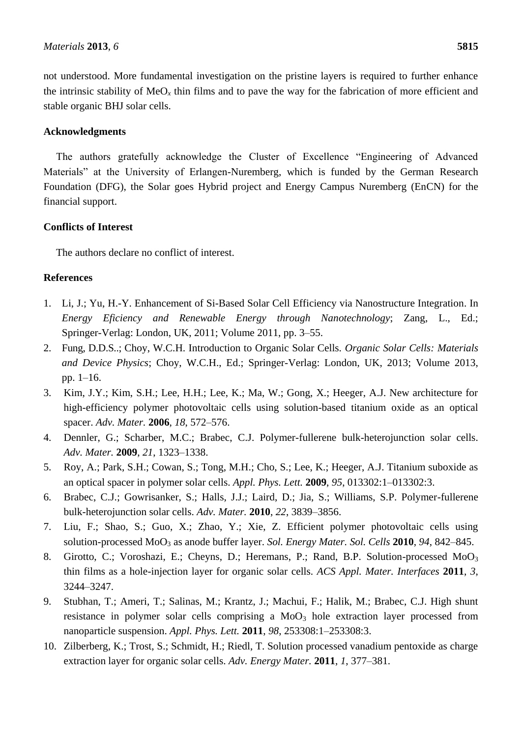# **Acknowledgments**

The authors gratefully acknowledge the Cluster of Excellence "Engineering of Advanced Materials" at the University of Erlangen-Nuremberg, which is funded by the German Research Foundation (DFG), the Solar goes Hybrid project and Energy Campus Nuremberg (EnCN) for the financial support.

# **Conflicts of Interest**

The authors declare no conflict of interest.

# **References**

- 1. Li, J.; Yu, H.-Y. Enhancement of Si-Based Solar Cell Efficiency via Nanostructure Integration. In *Energy Eficiency and Renewable Energy through Nanotechnology*; Zang, L., Ed.; Springer-Verlag: London, UK, 2011; Volume 2011, pp. 3–55.
- 2. Fung, D.D.S..; Choy, W.C.H. Introduction to Organic Solar Cells*. Organic Solar Cells: Materials and Device Physics*; Choy, W.C.H., Ed.; Springer-Verlag: London, UK, 2013; Volume 2013, pp. 1–16.
- 3. Kim, J.Y.; Kim, S.H.; Lee, H.H.; Lee, K.; Ma, W.; Gong, X.; Heeger, A.J. New architecture for high-efficiency polymer photovoltaic cells using solution-based titanium oxide as an optical spacer. *Adv. Mater.* **2006**, *18*, 572–576.
- 4. Dennler, G.; Scharber, M.C.; Brabec, C.J. Polymer-fullerene bulk-heterojunction solar cells. *Adv. Mater.* **2009**, *21*, 1323–1338.
- 5. Roy, A.; Park, S.H.; Cowan, S.; Tong, M.H.; Cho, S.; Lee, K.; Heeger, A.J. Titanium suboxide as an optical spacer in polymer solar cells. *Appl. Phys. Lett.* **2009**, *95*, 013302:1–013302:3.
- 6. Brabec, C.J.; Gowrisanker, S.; Halls, J.J.; Laird, D.; Jia, S.; Williams, S.P. Polymer-fullerene bulk-heterojunction solar cells. *Adv. Mater.* **2010**, *22*, 3839–3856.
- 7. Liu, F.; Shao, S.; Guo, X.; Zhao, Y.; Xie, Z. Efficient polymer photovoltaic cells using solution-processed MoO<sup>3</sup> as anode buffer layer. *Sol. Energy Mater. Sol. Cells* **2010**, *94*, 842–845.
- 8. Girotto, C.; Voroshazi, E.; Cheyns, D.; Heremans, P.; Rand, B.P. Solution-processed MoO<sub>3</sub> thin films as a hole-injection layer for organic solar cells. *ACS Appl. Mater. Interfaces* **2011**, *3*, 3244–3247.
- 9. Stubhan, T.; Ameri, T.; Salinas, M.; Krantz, J.; Machui, F.; Halik, M.; Brabec, C.J. High shunt resistance in polymer solar cells comprising a  $MoO<sub>3</sub>$  hole extraction layer processed from nanoparticle suspension. *Appl. Phys. Lett.* **2011**, *98*, 253308:1–253308:3.
- 10. Zilberberg, K.; Trost, S.; Schmidt, H.; Riedl, T. Solution processed vanadium pentoxide as charge extraction layer for organic solar cells. *Adv. Energy Mater.* **2011**, *1*, 377–381.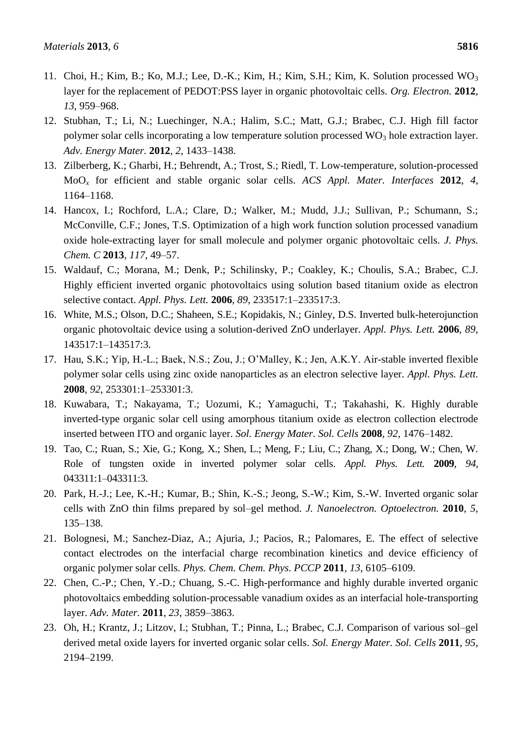- 11. Choi, H.; Kim, B.; Ko, M.J.; Lee, D.-K.; Kim, H.; Kim, S.H.; Kim, K. Solution processed WO<sup>3</sup> layer for the replacement of PEDOT:PSS layer in organic photovoltaic cells. *Org. Electron.* **2012**, *13*, 959–968.
- 12. Stubhan, T.; Li, N.; Luechinger, N.A.; Halim, S.C.; Matt, G.J.; Brabec, C.J. High fill factor polymer solar cells incorporating a low temperature solution processed WO<sub>3</sub> hole extraction layer. *Adv. Energy Mater.* **2012**, *2*, 1433–1438.
- 13. Zilberberg, K.; Gharbi, H.; Behrendt, A.; Trost, S.; Riedl, T. Low-temperature, solution-processed MoO*<sup>x</sup>* for efficient and stable organic solar cells. *ACS Appl. Mater. Interfaces* **2012**, *4*, 1164–1168.
- 14. Hancox, I.; Rochford, L.A.; Clare, D.; Walker, M.; Mudd, J.J.; Sullivan, P.; Schumann, S.; McConville, C.F.; Jones, T.S. Optimization of a high work function solution processed vanadium oxide hole-extracting layer for small molecule and polymer organic photovoltaic cells. *J. Phys. Chem. C* **2013**, *117*, 49–57.
- 15. Waldauf, C.; Morana, M.; Denk, P.; Schilinsky, P.; Coakley, K.; Choulis, S.A.; Brabec, C.J. Highly efficient inverted organic photovoltaics using solution based titanium oxide as electron selective contact. *Appl. Phys. Lett.* **2006**, *89*, 233517:1–233517:3.
- 16. White, M.S.; Olson, D.C.; Shaheen, S.E.; Kopidakis, N.; Ginley, D.S. Inverted bulk-heterojunction organic photovoltaic device using a solution-derived ZnO underlayer. *Appl. Phys. Lett.* **2006**, *89*, 143517:1–143517:3.
- 17. Hau, S.K.; Yip, H.-L.; Baek, N.S.; Zou, J.; O'Malley, K.; Jen, A.K.Y. Air-stable inverted flexible polymer solar cells using zinc oxide nanoparticles as an electron selective layer. *Appl. Phys. Lett.* **2008**, *92*, 253301:1–253301:3.
- 18. Kuwabara, T.; Nakayama, T.; Uozumi, K.; Yamaguchi, T.; Takahashi, K. Highly durable inverted-type organic solar cell using amorphous titanium oxide as electron collection electrode inserted between ITO and organic layer. *Sol. Energy Mater. Sol. Cells* **2008**, *92*, 1476–1482.
- 19. Tao, C.; Ruan, S.; Xie, G.; Kong, X.; Shen, L.; Meng, F.; Liu, C.; Zhang, X.; Dong, W.; Chen, W. Role of tungsten oxide in inverted polymer solar cells. *Appl. Phys. Lett.* **2009**, *94*, 043311:1–043311:3.
- 20. Park, H.-J.; Lee, K.-H.; Kumar, B.; Shin, K.-S.; Jeong, S.-W.; Kim, S.-W. Inverted organic solar cells with ZnO thin films prepared by sol–gel method. *J. Nanoelectron. Optoelectron.* **2010**, *5*, 135–138.
- 21. Bolognesi, M.; Sanchez-Diaz, A.; Ajuria, J.; Pacios, R.; Palomares, E. The effect of selective contact electrodes on the interfacial charge recombination kinetics and device efficiency of organic polymer solar cells. *Phys. Chem. Chem. Phys. PCCP* **2011**, *13*, 6105–6109.
- 22. Chen, C.-P.; Chen, Y.-D.; Chuang, S.-C. High-performance and highly durable inverted organic photovoltaics embedding solution-processable vanadium oxides as an interfacial hole-transporting layer. *Adv. Mater.* **2011**, *23*, 3859–3863.
- 23. Oh, H.; Krantz, J.; Litzov, I.; Stubhan, T.; Pinna, L.; Brabec, C.J. Comparison of various sol–gel derived metal oxide layers for inverted organic solar cells. *Sol. Energy Mater. Sol. Cells* **2011**, *95*, 2194–2199.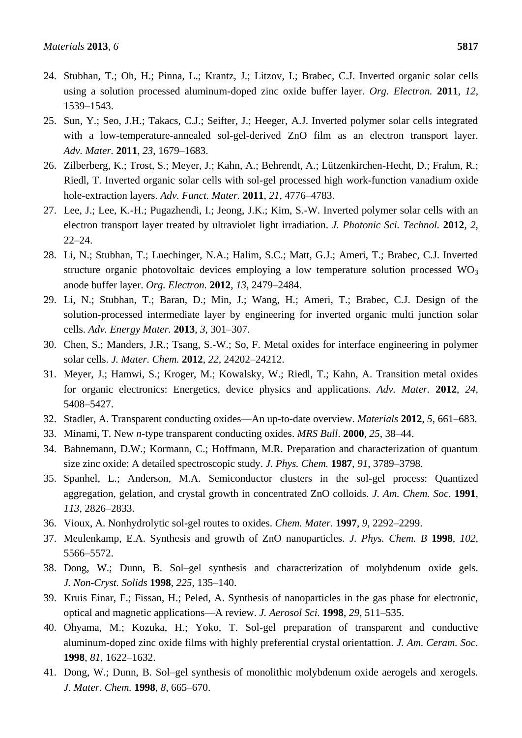- 24. Stubhan, T.; Oh, H.; Pinna, L.; Krantz, J.; Litzov, I.; Brabec, C.J. Inverted organic solar cells using a solution processed aluminum-doped zinc oxide buffer layer. *Org. Electron.* **2011**, *12*, 1539–1543.
- 25. Sun, Y.; Seo, J.H.; Takacs, C.J.; Seifter, J.; Heeger, A.J. Inverted polymer solar cells integrated with a low-temperature-annealed sol-gel-derived ZnO film as an electron transport layer. *Adv. Mater.* **2011**, *23*, 1679–1683.
- 26. Zilberberg, K.; Trost, S.; Meyer, J.; Kahn, A.; Behrendt, A.; Lützenkirchen-Hecht, D.; Frahm, R.; Riedl, T. Inverted organic solar cells with sol-gel processed high work-function vanadium oxide hole-extraction layers. *Adv. Funct. Mater.* **2011**, *21*, 4776–4783.
- 27. Lee, J.; Lee, K.-H.; Pugazhendi, I.; Jeong, J.K.; Kim, S.-W. Inverted polymer solar cells with an electron transport layer treated by ultraviolet light irradiation. *J. Photonic Sci. Technol.* **2012**, *2*, 22–24.
- 28. Li, N.; Stubhan, T.; Luechinger, N.A.; Halim, S.C.; Matt, G.J.; Ameri, T.; Brabec, C.J. Inverted structure organic photovoltaic devices employing a low temperature solution processed  $WO<sub>3</sub>$ anode buffer layer. *Org. Electron.* **2012**, *13*, 2479–2484.
- 29. Li, N.; Stubhan, T.; Baran, D.; Min, J.; Wang, H.; Ameri, T.; Brabec, C.J. Design of the solution-processed intermediate layer by engineering for inverted organic multi junction solar cells. *Adv. Energy Mater.* **2013**, *3*, 301–307.
- 30. Chen, S.; Manders, J.R.; Tsang, S.-W.; So, F. Metal oxides for interface engineering in polymer solar cells. *J. Mater. Chem.* **2012**, *22*, 24202–24212.
- 31. Meyer, J.; Hamwi, S.; Kroger, M.; Kowalsky, W.; Riedl, T.; Kahn, A. Transition metal oxides for organic electronics: Energetics, device physics and applications. *Adv. Mater.* **2012**, *24*, 5408–5427.
- 32. Stadler, A. Transparent conducting oxides—An up-to-date overview. *Materials* **2012**, *5*, 661–683.
- 33. Minami, T. New *n*-type transparent conducting oxides. *MRS Bull*. **2000**, *25*, 38–44.
- 34. Bahnemann, D.W.; Kormann, C.; Hoffmann, M.R. Preparation and characterization of quantum size zinc oxide: A detailed spectroscopic study. *J. Phys. Chem.* **1987**, *91*, 3789–3798.
- 35. Spanhel, L.; Anderson, M.A. Semiconductor clusters in the sol-gel process: Quantized aggregation, gelation, and crystal growth in concentrated ZnO colloids. *J. Am. Chem. Soc.* **1991**, *113*, 2826–2833.
- 36. Vioux, A. Nonhydrolytic sol-gel routes to oxides. *Chem. Mater.* **1997**, *9*, 2292–2299.
- 37. Meulenkamp, E.A. Synthesis and growth of ZnO nanoparticles. *J. Phys. Chem. B* **1998**, *102*, 5566–5572.
- 38. Dong, W.; Dunn, B. Sol–gel synthesis and characterization of molybdenum oxide gels. *J. Non-Cryst. Solids* **1998**, *225*, 135–140.
- 39. Kruis Einar, F.; Fissan, H.; Peled, A. Synthesis of nanoparticles in the gas phase for electronic, optical and magnetic applications—A review. *J. Aerosol Sci.* **1998**, *29*, 511–535.
- 40. Ohyama, M.; Kozuka, H.; Yoko, T. Sol-gel preparation of transparent and conductive aluminum-doped zinc oxide films with highly preferential crystal orientattion. *J. Am. Ceram. Soc.*  **1998**, *81*, 1622–1632.
- 41. Dong, W.; Dunn, B. Sol–gel synthesis of monolithic molybdenum oxide aerogels and xerogels. *J. Mater. Chem.* **1998**, *8*, 665–670.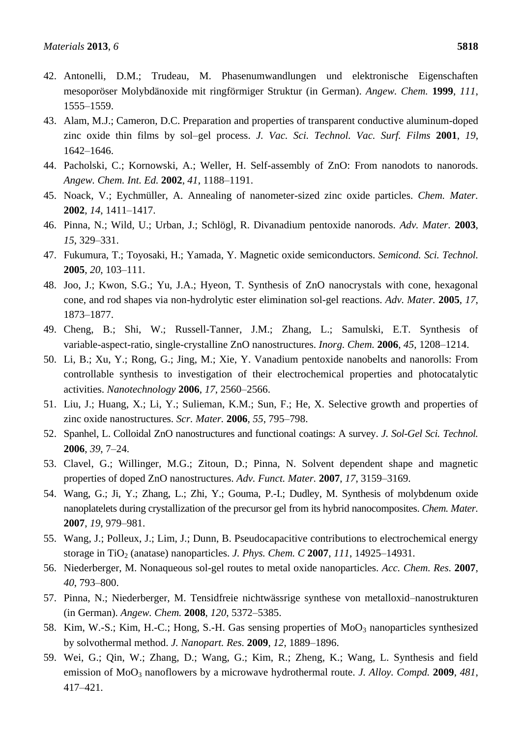- 42. Antonelli, D.M.; Trudeau, M. Phasenumwandlungen und elektronische Eigenschaften mesoporöser Molybdänoxide mit ringförmiger Struktur (in German). *Angew. Chem.* **1999**, *111*, 1555–1559.
- 43. Alam, M.J.; Cameron, D.C. Preparation and properties of transparent conductive aluminum-doped zinc oxide thin films by sol–gel process. *J. Vac. Sci. Technol. Vac. Surf. Films* **2001**, *19*, 1642–1646.
- 44. Pacholski, C.; Kornowski, A.; Weller, H. Self-assembly of ZnO: From nanodots to nanorods. *Angew. Chem. Int. Ed.* **2002**, *41*, 1188–1191.
- 45. Noack, V.; Eychmüller, A. Annealing of nanometer-sized zinc oxide particles. *Chem. Mater.*  **2002**, *14*, 1411–1417.
- 46. Pinna, N.; Wild, U.; Urban, J.; Schlögl, R. Divanadium pentoxide nanorods. *Adv. Mater.* **2003**, *15*, 329–331.
- 47. Fukumura, T.; Toyosaki, H.; Yamada, Y. Magnetic oxide semiconductors. *Semicond. Sci. Technol.* **2005**, *20*, 103–111.
- 48. Joo, J.; Kwon, S.G.; Yu, J.A.; Hyeon, T. Synthesis of ZnO nanocrystals with cone, hexagonal cone, and rod shapes via non-hydrolytic ester elimination sol-gel reactions. *Adv. Mater.* **2005**, *17*, 1873–1877.
- 49. Cheng, B.; Shi, W.; Russell-Tanner, J.M.; Zhang, L.; Samulski, E.T. Synthesis of variable-aspect-ratio, single-crystalline ZnO nanostructures. *Inorg. Chem.* **2006**, *45*, 1208–1214.
- 50. Li, B.; Xu, Y.; Rong, G.; Jing, M.; Xie, Y. Vanadium pentoxide nanobelts and nanorolls: From controllable synthesis to investigation of their electrochemical properties and photocatalytic activities. *Nanotechnology* **2006**, *17*, 2560–2566.
- 51. Liu, J.; Huang, X.; Li, Y.; Sulieman, K.M.; Sun, F.; He, X. Selective growth and properties of zinc oxide nanostructures. *Scr. Mater.* **2006**, *55*, 795–798.
- 52. Spanhel, L. Colloidal ZnO nanostructures and functional coatings: A survey. *J. Sol-Gel Sci. Technol.* **2006**, *39*, 7–24.
- 53. Clavel, G.; Willinger, M.G.; Zitoun, D.; Pinna, N. Solvent dependent shape and magnetic properties of doped ZnO nanostructures. *Adv. Funct. Mater.* **2007**, *17*, 3159–3169.
- 54. Wang, G.; Ji, Y.; Zhang, L.; Zhi, Y.; Gouma, P.-I.; Dudley, M. Synthesis of molybdenum oxide nanoplatelets during crystallization of the precursor gel from its hybrid nanocomposites. *Chem. Mater.*  **2007**, *19*, 979–981.
- 55. Wang, J.; Polleux, J.; Lim, J.; Dunn, B. Pseudocapacitive contributions to electrochemical energy storage in TiO<sup>2</sup> (anatase) nanoparticles. *J. Phys. Chem. C* **2007**, *111*, 14925–14931.
- 56. Niederberger, M. Nonaqueous sol-gel routes to metal oxide nanoparticles. *Acc. Chem. Res.* **2007**, *40*, 793–800.
- 57. Pinna, N.; Niederberger, M. Tensidfreie nichtwässrige synthese von metalloxid–nanostrukturen (in German). *Angew. Chem.* **2008**, *120*, 5372–5385.
- 58. Kim, W.-S.; Kim, H.-C.; Hong, S.-H. Gas sensing properties of MoO<sub>3</sub> nanoparticles synthesized by solvothermal method. *J. Nanopart. Res.* **2009**, *12*, 1889–1896.
- 59. Wei, G.; Qin, W.; Zhang, D.; Wang, G.; Kim, R.; Zheng, K.; Wang, L. Synthesis and field emission of MoO<sup>3</sup> nanoflowers by a microwave hydrothermal route. *J. Alloy. Compd.* **2009**, *481*, 417–421.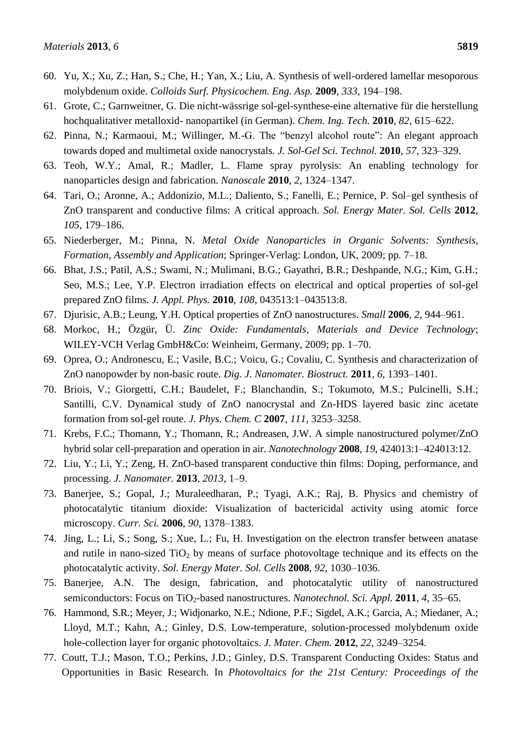- 60. Yu, X.; Xu, Z.; Han, S.; Che, H.; Yan, X.; Liu, A. Synthesis of well-ordered lamellar mesoporous molybdenum oxide. *Colloids Surf. Physicochem. Eng. Asp.* **2009**, *333*, 194–198.
- 61. Grote, C.; Garnweitner, G. Die nicht-wässrige sol-gel-synthese-eine alternative für die herstellung hochqualitativer metalloxid- nanopartikel (in German). *Chem. Ing. Tech.* **2010**, *82*, 615–622.
- 62. Pinna, N.; Karmaoui, M.; Willinger, M.-G. The "benzyl alcohol route": An elegant approach towards doped and multimetal oxide nanocrystals. *J. Sol-Gel Sci. Technol.* **2010**, *57*, 323–329.
- 63. Teoh, W.Y.; Amal, R.; Madler, L. Flame spray pyrolysis: An enabling technology for nanoparticles design and fabrication. *Nanoscale* **2010**, *2*, 1324–1347.
- 64. Tari, O.; Aronne, A.; Addonizio, M.L.; Daliento, S.; Fanelli, E.; Pernice, P. Sol–gel synthesis of ZnO transparent and conductive films: A critical approach. *Sol. Energy Mater. Sol. Cells* **2012**, *105*, 179–186.
- 65. Niederberger, M.; Pinna, N. *Metal Oxide Nanoparticles in Organic Solvents: Synthesis, Formation, Assembly and Application*; Springer-Verlag: London, UK, 2009; pp. 7–18.
- 66. Bhat, J.S.; Patil, A.S.; Swami, N.; Mulimani, B.G.; Gayathri, B.R.; Deshpande, N.G.; Kim, G.H.; Seo, M.S.; Lee, Y.P. Electron irradiation effects on electrical and optical properties of sol-gel prepared ZnO films. *J. Appl. Phys.* **2010**, *108*, 043513:1–043513:8.
- 67. Djurisic, A.B.; Leung, Y.H. Optical properties of ZnO nanostructures. *Small* **2006**, *2*, 944–961.
- 68. Morkoc, H.; Özgür, Ü. *Zinc Oxide: Fundamentals, Materials and Device Technology*; WILEY-VCH Verlag GmbH&Co: Weinheim, Germany, 2009; pp. 1–70.
- 69. Oprea, O.; Andronescu, E.; Vasile, B.C.; Voicu, G.; Covaliu, C. Synthesis and characterization of ZnO nanopowder by non-basic route. *Dig. J. Nanomater. Biostruct.* **2011**, *6*, 1393–1401.
- 70. Briois, V.; Giorgetti, C.H.; Baudelet, F.; Blanchandin, S.; Tokumoto, M.S.; Pulcinelli, S.H.; Santilli, C.V. Dynamical study of ZnO nanocrystal and Zn-HDS layered basic zinc acetate formation from sol-gel route. *J. Phys. Chem. C* **2007**, *111*, 3253–3258.
- 71. Krebs, F.C.; Thomann, Y.; Thomann, R.; Andreasen, J.W. A simple nanostructured polymer/ZnO hybrid solar cell-preparation and operation in air. *Nanotechnology* **2008**, *19*, 424013:1–424013:12.
- 72. Liu, Y.; Li, Y.; Zeng, H. ZnO-based transparent conductive thin films: Doping, performance, and processing. *J. Nanomater.* **2013**, *2013*, 1–9.
- 73. Banerjee, S.; Gopal, J.; Muraleedharan, P.; Tyagi, A.K.; Raj, B. Physics and chemistry of photocatalytic titanium dioxide: Visualization of bactericidal activity using atomic force microscopy. *Curr. Sci.* **2006**, *90*, 1378–1383.
- 74. Jing, L.; Li, S.; Song, S.; Xue, L.; Fu, H. Investigation on the electron transfer between anatase and rutile in nano-sized  $TiO<sub>2</sub>$  by means of surface photovoltage technique and its effects on the photocatalytic activity. *Sol. Energy Mater. Sol. Cells* **2008**, *92*, 1030–1036.
- 75. Banerjee, A.N. The design, fabrication, and photocatalytic utility of nanostructured semiconductors: Focus on TiO<sub>2</sub>-based nanostructures. *Nanotechnol. Sci. Appl.* **2011**, 4, 35–65.
- 76. Hammond, S.R.; Meyer, J.; Widjonarko, N.E.; Ndione, P.F.; Sigdel, A.K.; Garcia, A.; Miedaner, A.; Lloyd, M.T.; Kahn, A.; Ginley, D.S. Low-temperature, solution-processed molybdenum oxide hole-collection layer for organic photovoltaics. *J. Mater. Chem.* **2012**, *22*, 3249–3254.
- 77. Coutt, T.J.; Mason, T.O.; Perkins, J.D.; Ginley, D.S. Transparent Conducting Oxides: Status and Opportunities in Basic Research. In *Photovoltaics for the 21st Century: Proceedings of the*